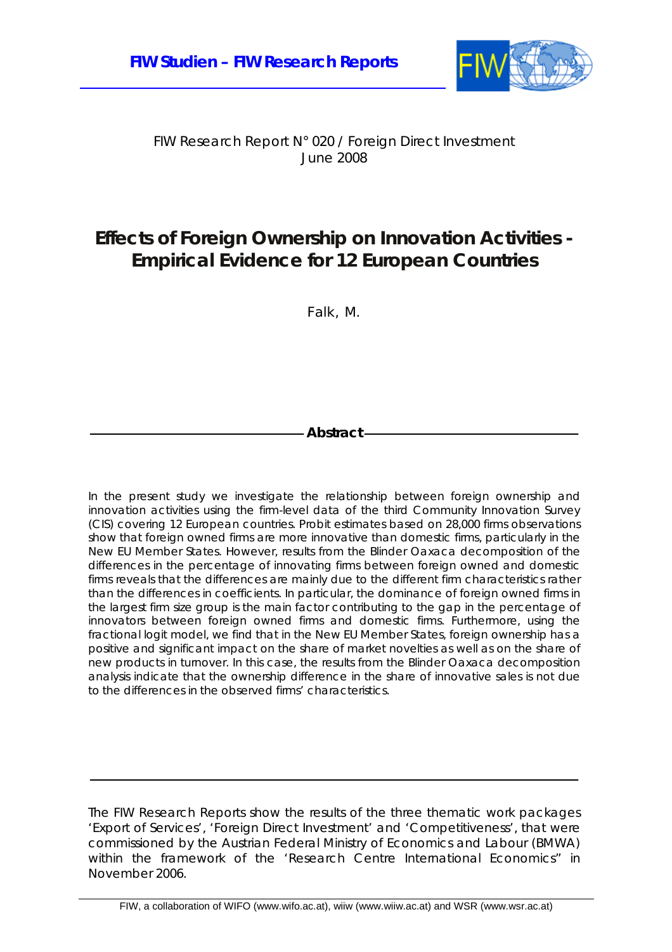

#### FIW Research Report N° 020 / Foreign Direct Investment June 2008

# **Effects of Foreign Ownership on Innovation Activities - Empirical Evidence for 12 European Countries**

Falk, M.

**Abstract** 

In the present study we investigate the relationship between foreign ownership and innovation activities using the firm-level data of the third Community Innovation Survey (CIS) covering 12 European countries. Probit estimates based on 28,000 firms observations show that foreign owned firms are more innovative than domestic firms, particularly in the New EU Member States. However, results from the Blinder Oaxaca decomposition of the differences in the percentage of innovating firms between foreign owned and domestic firms reveals that the differences are mainly due to the different firm characteristics rather than the differences in coefficients. In particular, the dominance of foreign owned firms in the largest firm size group is the main factor contributing to the gap in the percentage of innovators between foreign owned firms and domestic firms. Furthermore, using the fractional logit model, we find that in the New EU Member States, foreign ownership has a positive and significant impact on the share of market novelties as well as on the share of new products in turnover. In this case, the results from the Blinder Oaxaca decomposition analysis indicate that the ownership difference in the share of innovative sales is not due to the differences in the observed firms' characteristics.

The FIW Research Reports show the results of the three thematic work packages 'Export of Services', 'Foreign Direct Investment' and 'Competitiveness', that were commissioned by the Austrian Federal Ministry of Economics and Labour (BMWA) within the framework of the 'Research Centre International Economics" in November 2006.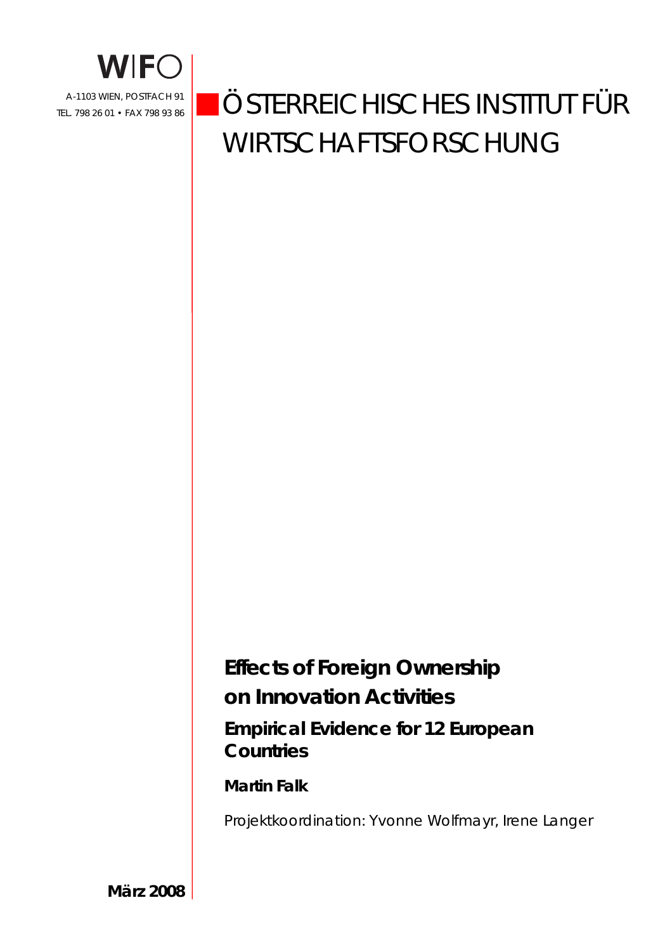

# ÖSTERREICHISCHES INSTITUT FÜR WIRTSCHAFTSFORSCHUNG

# **Effects of Foreign Ownership on Innovation Activities Empirical Evidence for 12 European Countries**

### **Martin Falk**

Projektkoordination: Yvonne Wolfmayr, Irene Langer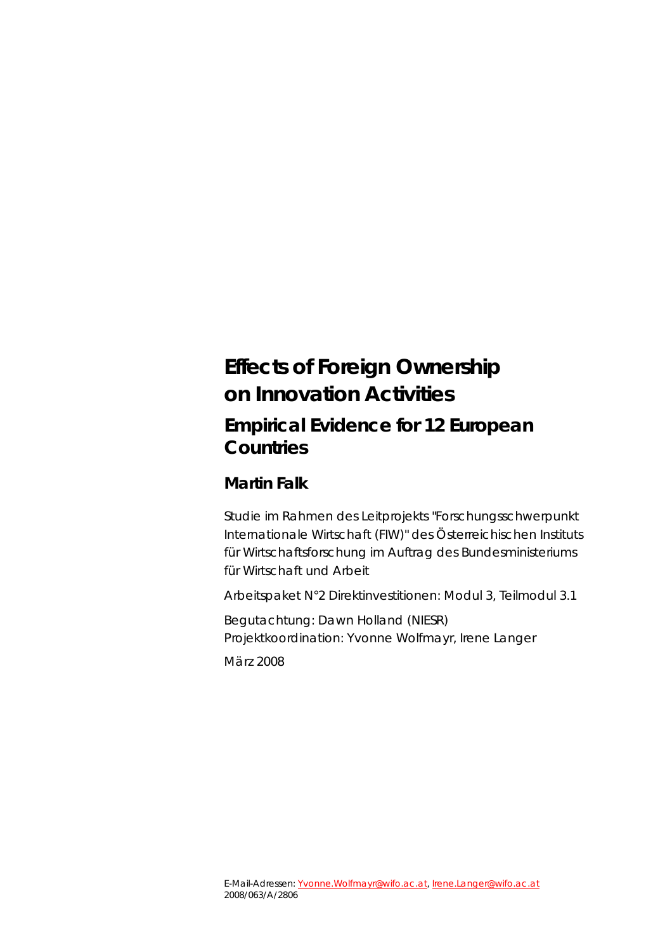# **Effects of Foreign Ownership on Innovation Activities Empirical Evidence for 12 European Countries**

### **Martin Falk**

Studie im Rahmen des Leitprojekts "Forschungsschwerpunkt Internationale Wirtschaft (FIW)" des Österreichischen Instituts für Wirtschaftsforschung im Auftrag des Bundesministeriums für Wirtschaft und Arbeit

Arbeitspaket N°2 Direktinvestitionen: Modul 3, Teilmodul 3.1

Begutachtung: Dawn Holland (NIESR) Projektkoordination: Yvonne Wolfmayr, Irene Langer

März 2008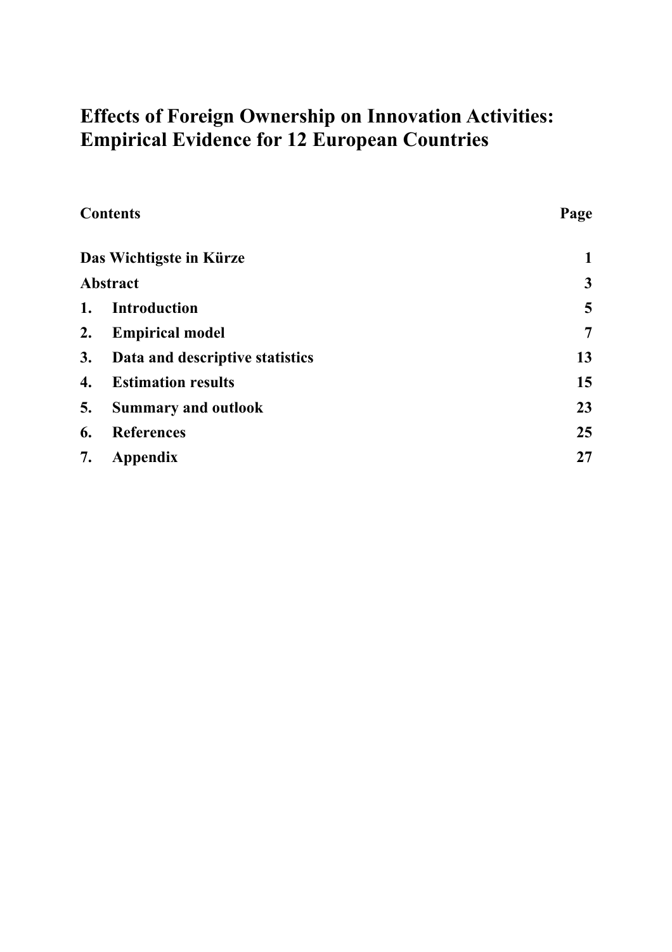# **Effects of Foreign Ownership on Innovation Activities: Empirical Evidence for 12 European Countries**

|    | <b>Contents</b>                 | Page |
|----|---------------------------------|------|
|    | Das Wichtigste in Kürze         | 1    |
|    | <b>Abstract</b>                 | 3    |
| 1. | <b>Introduction</b>             | 5    |
| 2. | <b>Empirical model</b>          | 7    |
| 3. | Data and descriptive statistics | 13   |
| 4. | <b>Estimation results</b>       | 15   |
| 5. | <b>Summary and outlook</b>      | 23   |
| 6. | <b>References</b>               | 25   |
| 7. | Appendix                        | 27   |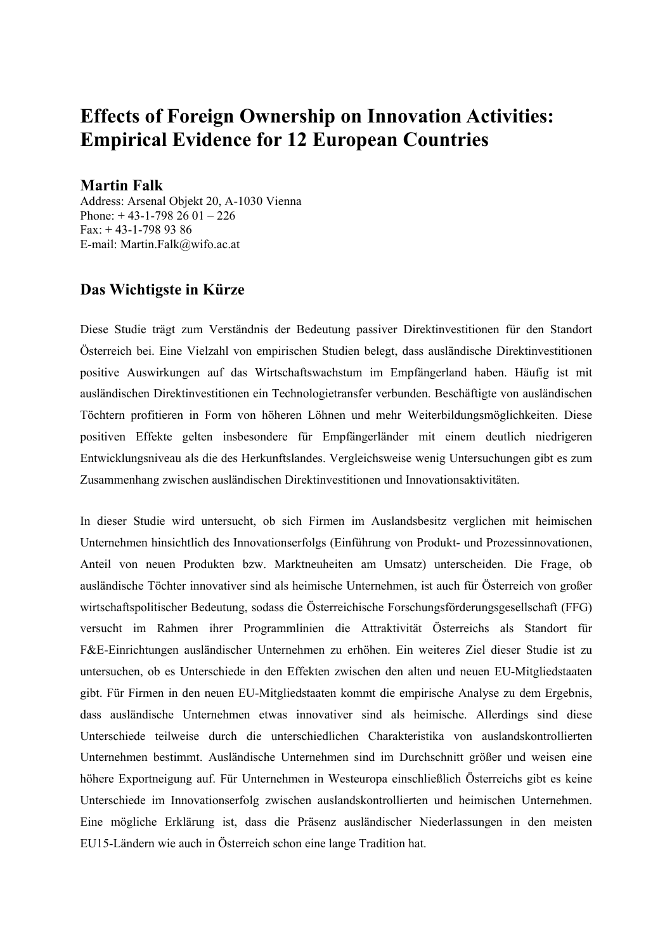# **Effects of Foreign Ownership on Innovation Activities: Empirical Evidence for 12 European Countries**

#### **Martin Falk**

Address: Arsenal Objekt 20, A-1030 Vienna Phone: + 43-1-798 26 01 – 226 Fax: + 43-1-798 93 86 E-mail: Martin.Falk@wifo.ac.at

#### **Das Wichtigste in Kürze**

Diese Studie trägt zum Verständnis der Bedeutung passiver Direktinvestitionen für den Standort Österreich bei. Eine Vielzahl von empirischen Studien belegt, dass ausländische Direktinvestitionen positive Auswirkungen auf das Wirtschaftswachstum im Empfängerland haben. Häufig ist mit ausländischen Direktinvestitionen ein Technologietransfer verbunden. Beschäftigte von ausländischen Töchtern profitieren in Form von höheren Löhnen und mehr Weiterbildungsmöglichkeiten. Diese positiven Effekte gelten insbesondere für Empfängerländer mit einem deutlich niedrigeren Entwicklungsniveau als die des Herkunftslandes. Vergleichsweise wenig Untersuchungen gibt es zum Zusammenhang zwischen ausländischen Direktinvestitionen und Innovationsaktivitäten.

In dieser Studie wird untersucht, ob sich Firmen im Auslandsbesitz verglichen mit heimischen Unternehmen hinsichtlich des Innovationserfolgs (Einführung von Produkt- und Prozessinnovationen, Anteil von neuen Produkten bzw. Marktneuheiten am Umsatz) unterscheiden. Die Frage, ob ausländische Töchter innovativer sind als heimische Unternehmen, ist auch für Österreich von großer wirtschaftspolitischer Bedeutung, sodass die Österreichische Forschungsförderungsgesellschaft (FFG) versucht im Rahmen ihrer Programmlinien die Attraktivität Österreichs als Standort für F&E-Einrichtungen ausländischer Unternehmen zu erhöhen. Ein weiteres Ziel dieser Studie ist zu untersuchen, ob es Unterschiede in den Effekten zwischen den alten und neuen EU-Mitgliedstaaten gibt. Für Firmen in den neuen EU-Mitgliedstaaten kommt die empirische Analyse zu dem Ergebnis, dass ausländische Unternehmen etwas innovativer sind als heimische. Allerdings sind diese Unterschiede teilweise durch die unterschiedlichen Charakteristika von auslandskontrollierten Unternehmen bestimmt. Ausländische Unternehmen sind im Durchschnitt größer und weisen eine höhere Exportneigung auf. Für Unternehmen in Westeuropa einschließlich Österreichs gibt es keine Unterschiede im Innovationserfolg zwischen auslandskontrollierten und heimischen Unternehmen. Eine mögliche Erklärung ist, dass die Präsenz ausländischer Niederlassungen in den meisten EU15-Ländern wie auch in Österreich schon eine lange Tradition hat.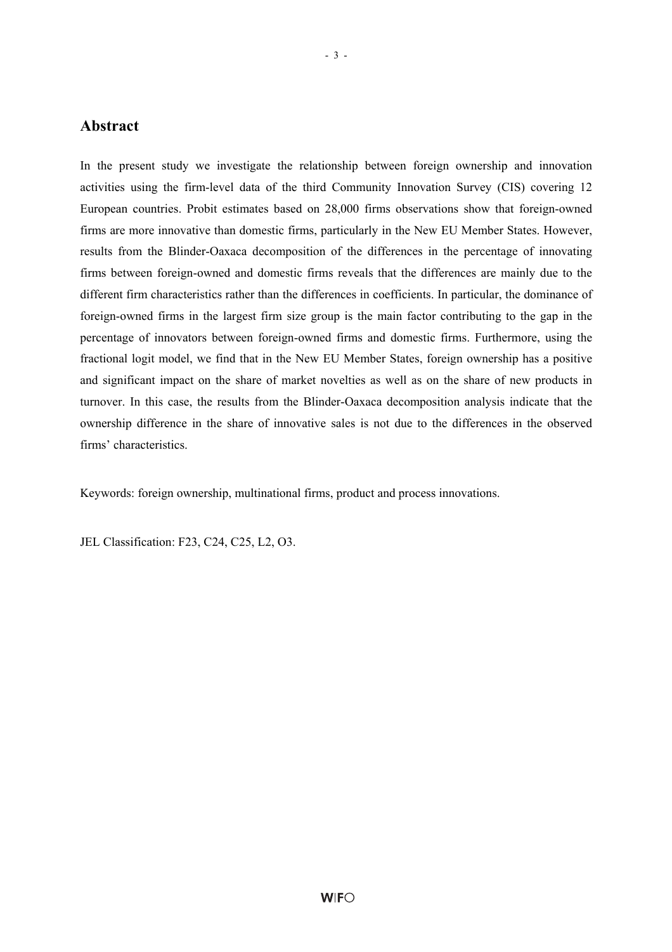#### **Abstract**

In the present study we investigate the relationship between foreign ownership and innovation activities using the firm-level data of the third Community Innovation Survey (CIS) covering 12 European countries. Probit estimates based on 28,000 firms observations show that foreign-owned firms are more innovative than domestic firms, particularly in the New EU Member States. However, results from the Blinder-Oaxaca decomposition of the differences in the percentage of innovating firms between foreign-owned and domestic firms reveals that the differences are mainly due to the different firm characteristics rather than the differences in coefficients. In particular, the dominance of foreign-owned firms in the largest firm size group is the main factor contributing to the gap in the percentage of innovators between foreign-owned firms and domestic firms. Furthermore, using the fractional logit model, we find that in the New EU Member States, foreign ownership has a positive and significant impact on the share of market novelties as well as on the share of new products in turnover. In this case, the results from the Blinder-Oaxaca decomposition analysis indicate that the ownership difference in the share of innovative sales is not due to the differences in the observed firms' characteristics.

Keywords: foreign ownership, multinational firms, product and process innovations.

JEL Classification: F23, C24, C25, L2, O3.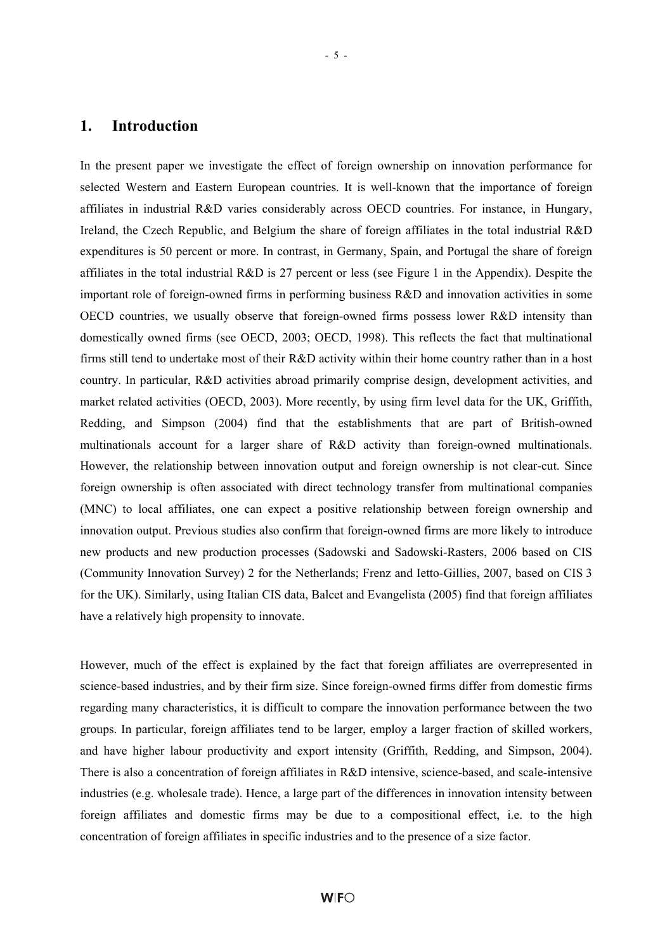#### **1. Introduction**

In the present paper we investigate the effect of foreign ownership on innovation performance for selected Western and Eastern European countries. It is well-known that the importance of foreign affiliates in industrial R&D varies considerably across OECD countries. For instance, in Hungary, Ireland, the Czech Republic, and Belgium the share of foreign affiliates in the total industrial R&D expenditures is 50 percent or more. In contrast, in Germany, Spain, and Portugal the share of foreign affiliates in the total industrial R&D is 27 percent or less (see Figure 1 in the Appendix). Despite the important role of foreign-owned firms in performing business R&D and innovation activities in some OECD countries, we usually observe that foreign-owned firms possess lower R&D intensity than domestically owned firms (see OECD, 2003; OECD, 1998). This reflects the fact that multinational firms still tend to undertake most of their R&D activity within their home country rather than in a host country. In particular, R&D activities abroad primarily comprise design, development activities, and market related activities (OECD, 2003). More recently, by using firm level data for the UK, Griffith, Redding, and Simpson (2004) find that the establishments that are part of British-owned multinationals account for a larger share of R&D activity than foreign-owned multinationals. However, the relationship between innovation output and foreign ownership is not clear-cut. Since foreign ownership is often associated with direct technology transfer from multinational companies (MNC) to local affiliates, one can expect a positive relationship between foreign ownership and innovation output. Previous studies also confirm that foreign-owned firms are more likely to introduce new products and new production processes (Sadowski and Sadowski-Rasters, 2006 based on CIS (Community Innovation Survey) 2 for the Netherlands; Frenz and Ietto-Gillies, 2007, based on CIS 3 for the UK). Similarly, using Italian CIS data, Balcet and Evangelista (2005) find that foreign affiliates have a relatively high propensity to innovate.

However, much of the effect is explained by the fact that foreign affiliates are overrepresented in science-based industries, and by their firm size. Since foreign-owned firms differ from domestic firms regarding many characteristics, it is difficult to compare the innovation performance between the two groups. In particular, foreign affiliates tend to be larger, employ a larger fraction of skilled workers, and have higher labour productivity and export intensity (Griffith, Redding, and Simpson, 2004). There is also a concentration of foreign affiliates in R&D intensive, science-based, and scale-intensive industries (e.g. wholesale trade). Hence, a large part of the differences in innovation intensity between foreign affiliates and domestic firms may be due to a compositional effect, i.e. to the high concentration of foreign affiliates in specific industries and to the presence of a size factor.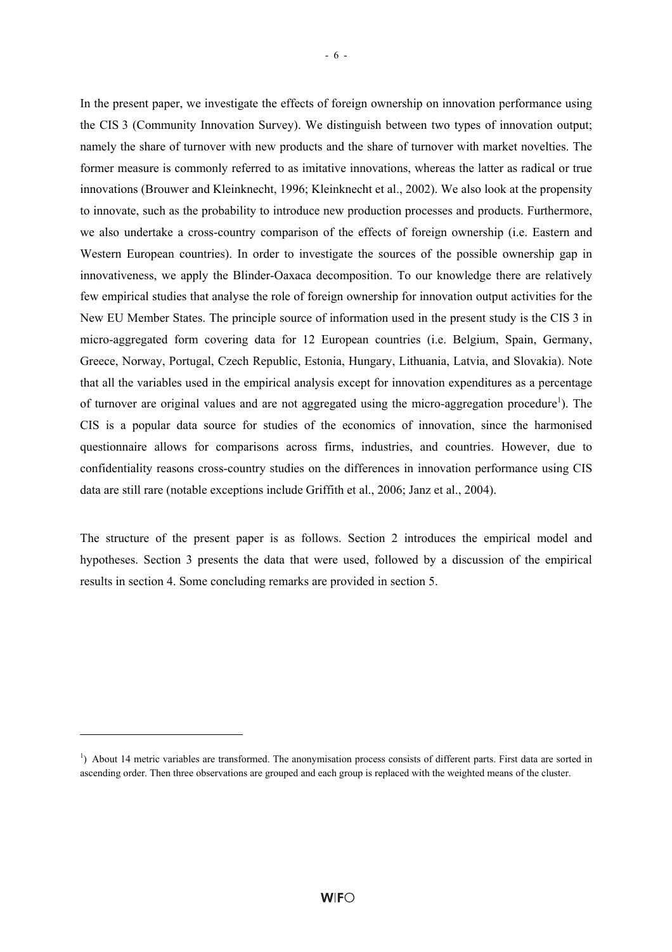In the present paper, we investigate the effects of foreign ownership on innovation performance using the CIS 3 (Community Innovation Survey). We distinguish between two types of innovation output; namely the share of turnover with new products and the share of turnover with market novelties. The former measure is commonly referred to as imitative innovations, whereas the latter as radical or true innovations (Brouwer and Kleinknecht, 1996; Kleinknecht et al., 2002). We also look at the propensity to innovate, such as the probability to introduce new production processes and products. Furthermore, we also undertake a cross-country comparison of the effects of foreign ownership (i.e. Eastern and Western European countries). In order to investigate the sources of the possible ownership gap in innovativeness, we apply the Blinder-Oaxaca decomposition. To our knowledge there are relatively few empirical studies that analyse the role of foreign ownership for innovation output activities for the New EU Member States. The principle source of information used in the present study is the CIS 3 in micro-aggregated form covering data for 12 European countries (i.e. Belgium, Spain, Germany, Greece, Norway, Portugal, Czech Republic, Estonia, Hungary, Lithuania, Latvia, and Slovakia). Note that all the variables used in the empirical analysis except for innovation expenditures as a percentage of turnover are original values and are not aggregated using the micro-aggregation procedure<sup>1</sup>). The CIS is a popular data source for studies of the economics of innovation, since the harmonised questionnaire allows for comparisons across firms, industries, and countries. However, due to confidentiality reasons cross-country studies on the differences in innovation performance using CIS data are still rare (notable exceptions include Griffith et al., 2006; Janz et al., 2004).

The structure of the present paper is as follows. Section 2 introduces the empirical model and hypotheses. Section 3 presents the data that were used, followed by a discussion of the empirical results in section 4. Some concluding remarks are provided in section 5.

l

<sup>&</sup>lt;sup>1</sup>) About 14 metric variables are transformed. The anonymisation process consists of different parts. First data are sorted in ascending order. Then three observations are grouped and each group is replaced with the weighted means of the cluster.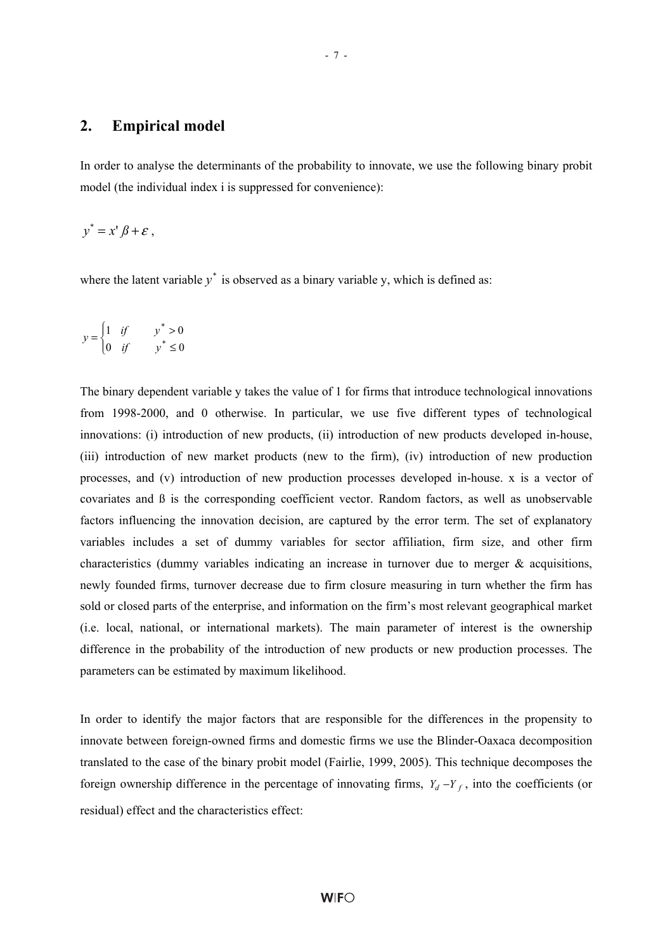#### **2. Empirical model**

In order to analyse the determinants of the probability to innovate, we use the following binary probit model (the individual index i is suppressed for convenience):

$$
y^* = x' \beta + \varepsilon ,
$$

where the latent variable  $y^*$  is observed as a binary variable y, which is defined as:

$$
y = \begin{cases} 1 & \text{if} & y^* > 0 \\ 0 & \text{if} & y^* \le 0 \end{cases}
$$

The binary dependent variable y takes the value of 1 for firms that introduce technological innovations from 1998-2000, and 0 otherwise. In particular, we use five different types of technological innovations: (i) introduction of new products, (ii) introduction of new products developed in-house, (iii) introduction of new market products (new to the firm), (iv) introduction of new production processes, and (v) introduction of new production processes developed in-house. x is a vector of covariates and ß is the corresponding coefficient vector. Random factors, as well as unobservable factors influencing the innovation decision, are captured by the error term. The set of explanatory variables includes a set of dummy variables for sector affiliation, firm size, and other firm characteristics (dummy variables indicating an increase in turnover due to merger  $\&$  acquisitions, newly founded firms, turnover decrease due to firm closure measuring in turn whether the firm has sold or closed parts of the enterprise, and information on the firm's most relevant geographical market (i.e. local, national, or international markets). The main parameter of interest is the ownership difference in the probability of the introduction of new products or new production processes. The parameters can be estimated by maximum likelihood.

In order to identify the major factors that are responsible for the differences in the propensity to innovate between foreign-owned firms and domestic firms we use the Blinder-Oaxaca decomposition translated to the case of the binary probit model (Fairlie, 1999, 2005). This technique decomposes the foreign ownership difference in the percentage of innovating firms,  $Y_d - Y_f$ , into the coefficients (or residual) effect and the characteristics effect: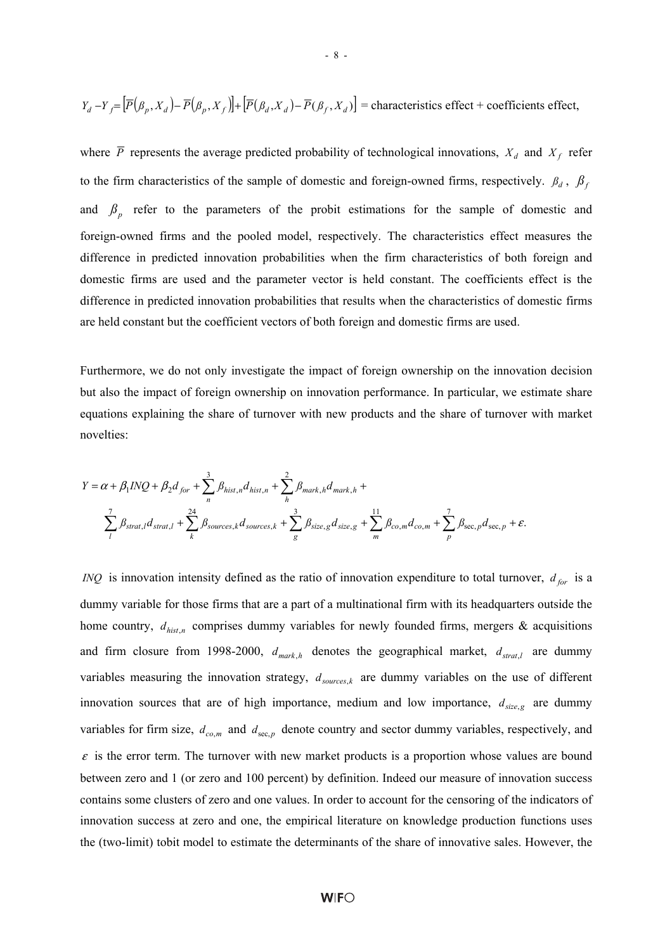$$
Y_d - Y_f = \left[ \overline{P}(\beta_p, X_d) - \overline{P}(\beta_p, X_f) \right] + \left[ \overline{P}(\beta_d, X_d) - \overline{P}(\beta_f, X_d) \right] = \text{characteristics effect} + \text{coefficients effect},
$$

- 8 -

where  $\overline{P}$  represents the average predicted probability of technological innovations,  $X_d$  and  $X_f$  refer to the firm characteristics of the sample of domestic and foreign-owned firms, respectively.  $\beta_d$ ,  $\beta_f$ and  $\beta_p$  refer to the parameters of the probit estimations for the sample of domestic and foreign-owned firms and the pooled model, respectively. The characteristics effect measures the difference in predicted innovation probabilities when the firm characteristics of both foreign and domestic firms are used and the parameter vector is held constant. The coefficients effect is the difference in predicted innovation probabilities that results when the characteristics of domestic firms are held constant but the coefficient vectors of both foreign and domestic firms are used.

Furthermore, we do not only investigate the impact of foreign ownership on the innovation decision but also the impact of foreign ownership on innovation performance. In particular, we estimate share equations explaining the share of turnover with new products and the share of turnover with market novelties:

$$
Y = \alpha + \beta_1 INQ + \beta_2 d_{for} + \sum_{n}^{3} \beta_{hist,n} d_{hist,n} + \sum_{h}^{2} \beta_{mark,h} d_{mark,h} +
$$
  

$$
\sum_{l} \beta_{strat,l} d_{strat,l} + \sum_{k}^{24} \beta_{sources,k} d_{sources,k} + \sum_{g}^{3} \beta_{size,g} d_{size,g} + \sum_{m}^{11} \beta_{co,m} d_{co,m} + \sum_{p}^{7} \beta_{sec,p} d_{sec,p} + \varepsilon.
$$

*INQ* is innovation intensity defined as the ratio of innovation expenditure to total turnover,  $d_{for}$  is a dummy variable for those firms that are a part of a multinational firm with its headquarters outside the home country,  $d_{hist,n}$  comprises dummy variables for newly founded firms, mergers & acquisitions and firm closure from 1998-2000,  $d_{mark,h}$  denotes the geographical market,  $d_{strat,l}$  are dummy variables measuring the innovation strategy,  $d_{sources,k}$  are dummy variables on the use of different innovation sources that are of high importance, medium and low importance,  $d_{size,g}$  are dummy variables for firm size,  $d_{co,m}$  and  $d_{\text{sec},p}$  denote country and sector dummy variables, respectively, and  $\varepsilon$  is the error term. The turnover with new market products is a proportion whose values are bound between zero and 1 (or zero and 100 percent) by definition. Indeed our measure of innovation success contains some clusters of zero and one values. In order to account for the censoring of the indicators of innovation success at zero and one, the empirical literature on knowledge production functions uses the (two-limit) tobit model to estimate the determinants of the share of innovative sales. However, the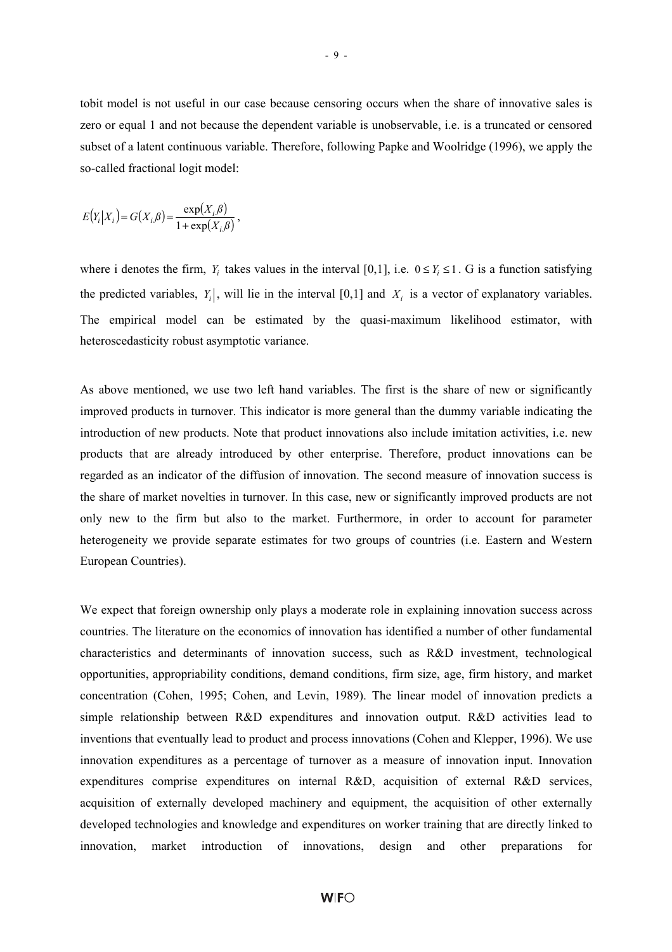tobit model is not useful in our case because censoring occurs when the share of innovative sales is zero or equal 1 and not because the dependent variable is unobservable, i.e. is a truncated or censored subset of a latent continuous variable. Therefore, following Papke and Woolridge (1996), we apply the so-called fractional logit model:

$$
E(Y_i|X_i) = G(X_i,\beta) = \frac{\exp(X_i,\beta)}{1 + \exp(X_i,\beta)},
$$

where i denotes the firm,  $Y_i$  takes values in the interval [0,1], i.e.  $0 \le Y_i \le 1$ . G is a function satisfying the predicted variables,  $Y_i$ , will lie in the interval [0,1] and  $X_i$  is a vector of explanatory variables. The empirical model can be estimated by the quasi-maximum likelihood estimator, with heteroscedasticity robust asymptotic variance.

As above mentioned, we use two left hand variables. The first is the share of new or significantly improved products in turnover. This indicator is more general than the dummy variable indicating the introduction of new products. Note that product innovations also include imitation activities, i.e. new products that are already introduced by other enterprise. Therefore, product innovations can be regarded as an indicator of the diffusion of innovation. The second measure of innovation success is the share of market novelties in turnover. In this case, new or significantly improved products are not only new to the firm but also to the market. Furthermore, in order to account for parameter heterogeneity we provide separate estimates for two groups of countries (i.e. Eastern and Western European Countries).

We expect that foreign ownership only plays a moderate role in explaining innovation success across countries. The literature on the economics of innovation has identified a number of other fundamental characteristics and determinants of innovation success, such as R&D investment, technological opportunities, appropriability conditions, demand conditions, firm size, age, firm history, and market concentration (Cohen, 1995; Cohen, and Levin, 1989). The linear model of innovation predicts a simple relationship between R&D expenditures and innovation output. R&D activities lead to inventions that eventually lead to product and process innovations (Cohen and Klepper, 1996). We use innovation expenditures as a percentage of turnover as a measure of innovation input. Innovation expenditures comprise expenditures on internal R&D, acquisition of external R&D services, acquisition of externally developed machinery and equipment, the acquisition of other externally developed technologies and knowledge and expenditures on worker training that are directly linked to innovation, market introduction of innovations, design and other preparations for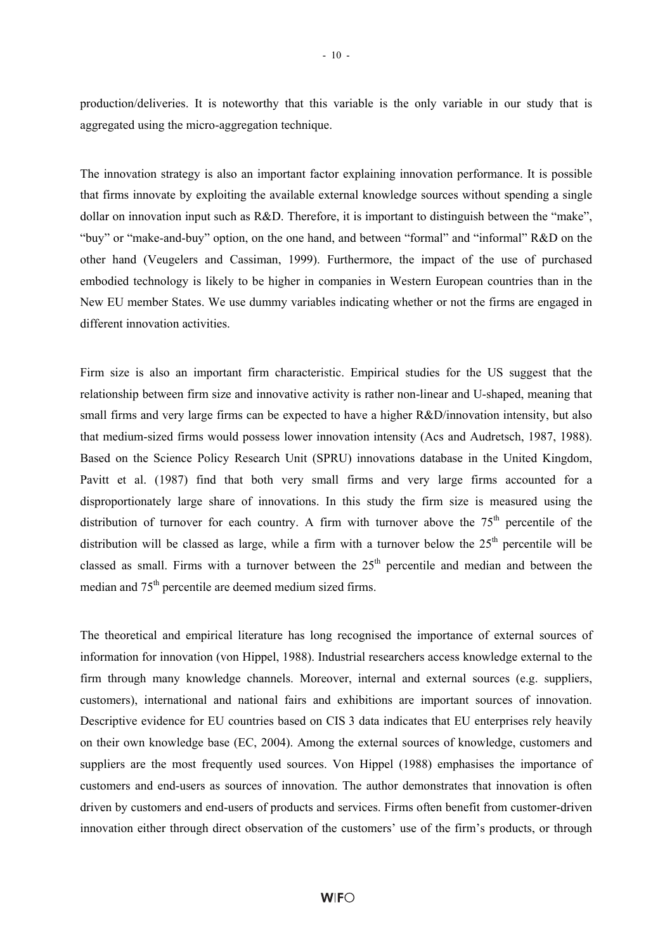production/deliveries. It is noteworthy that this variable is the only variable in our study that is aggregated using the micro-aggregation technique.

The innovation strategy is also an important factor explaining innovation performance. It is possible that firms innovate by exploiting the available external knowledge sources without spending a single dollar on innovation input such as R&D. Therefore, it is important to distinguish between the "make", "buy" or "make-and-buy" option, on the one hand, and between "formal" and "informal" R&D on the other hand (Veugelers and Cassiman, 1999). Furthermore, the impact of the use of purchased embodied technology is likely to be higher in companies in Western European countries than in the New EU member States. We use dummy variables indicating whether or not the firms are engaged in different innovation activities.

Firm size is also an important firm characteristic. Empirical studies for the US suggest that the relationship between firm size and innovative activity is rather non-linear and U-shaped, meaning that small firms and very large firms can be expected to have a higher R&D/innovation intensity, but also that medium-sized firms would possess lower innovation intensity (Acs and Audretsch, 1987, 1988). Based on the Science Policy Research Unit (SPRU) innovations database in the United Kingdom, Pavitt et al. (1987) find that both very small firms and very large firms accounted for a disproportionately large share of innovations. In this study the firm size is measured using the distribution of turnover for each country. A firm with turnover above the  $75<sup>th</sup>$  percentile of the distribution will be classed as large, while a firm with a turnover below the  $25<sup>th</sup>$  percentile will be classed as small. Firms with a turnover between the  $25<sup>th</sup>$  percentile and median and between the median and 75<sup>th</sup> percentile are deemed medium sized firms.

The theoretical and empirical literature has long recognised the importance of external sources of information for innovation (von Hippel, 1988). Industrial researchers access knowledge external to the firm through many knowledge channels. Moreover, internal and external sources (e.g. suppliers, customers), international and national fairs and exhibitions are important sources of innovation. Descriptive evidence for EU countries based on CIS 3 data indicates that EU enterprises rely heavily on their own knowledge base (EC, 2004). Among the external sources of knowledge, customers and suppliers are the most frequently used sources. Von Hippel (1988) emphasises the importance of customers and end-users as sources of innovation. The author demonstrates that innovation is often driven by customers and end-users of products and services. Firms often benefit from customer-driven innovation either through direct observation of the customers' use of the firm's products, or through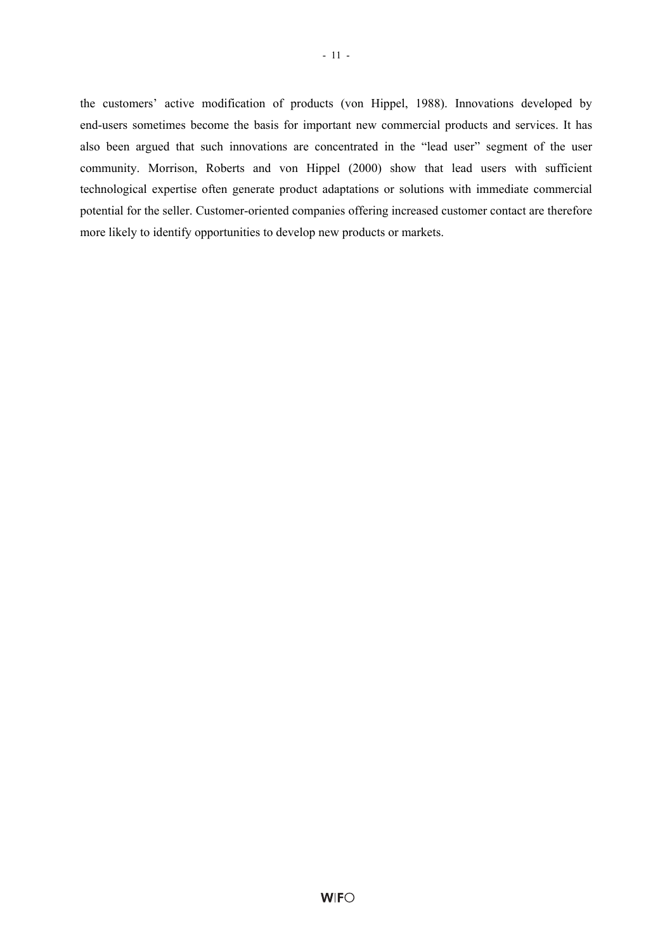- 11 -

the customers' active modification of products (von Hippel, 1988). Innovations developed by end-users sometimes become the basis for important new commercial products and services. It has also been argued that such innovations are concentrated in the "lead user" segment of the user community. Morrison, Roberts and von Hippel (2000) show that lead users with sufficient technological expertise often generate product adaptations or solutions with immediate commercial potential for the seller. Customer-oriented companies offering increased customer contact are therefore more likely to identify opportunities to develop new products or markets.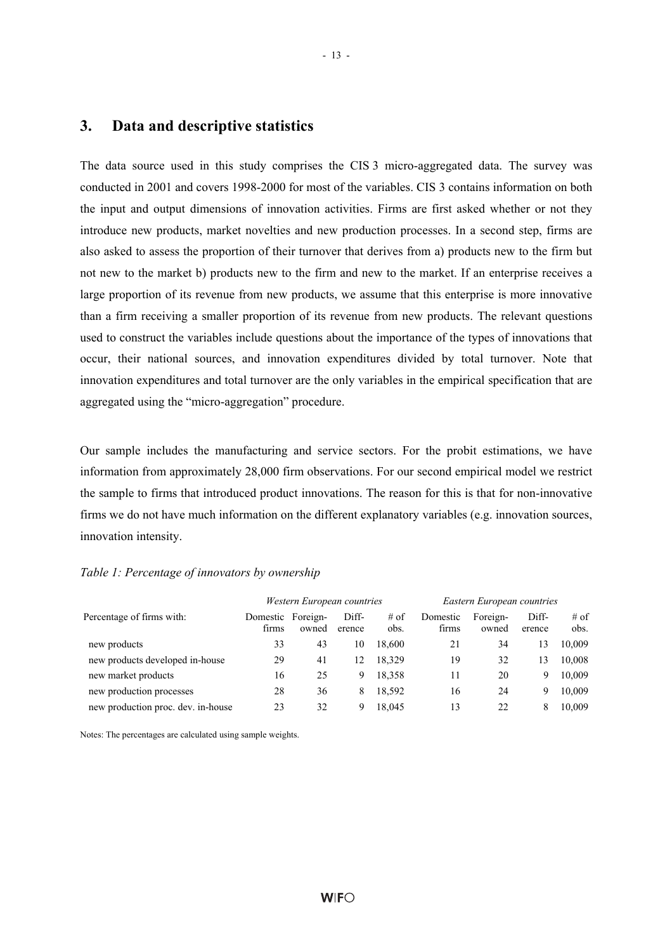#### **3. Data and descriptive statistics**

The data source used in this study comprises the CIS 3 micro-aggregated data. The survey was conducted in 2001 and covers 1998-2000 for most of the variables. CIS 3 contains information on both the input and output dimensions of innovation activities. Firms are first asked whether or not they introduce new products, market novelties and new production processes. In a second step, firms are also asked to assess the proportion of their turnover that derives from a) products new to the firm but not new to the market b) products new to the firm and new to the market. If an enterprise receives a large proportion of its revenue from new products, we assume that this enterprise is more innovative than a firm receiving a smaller proportion of its revenue from new products. The relevant questions used to construct the variables include questions about the importance of the types of innovations that occur, their national sources, and innovation expenditures divided by total turnover. Note that innovation expenditures and total turnover are the only variables in the empirical specification that are aggregated using the "micro-aggregation" procedure.

Our sample includes the manufacturing and service sectors. For the probit estimations, we have information from approximately 28,000 firm observations. For our second empirical model we restrict the sample to firms that introduced product innovations. The reason for this is that for non-innovative firms we do not have much information on the different explanatory variables (e.g. innovation sources, innovation intensity.

#### *Table 1: Percentage of innovators by ownership*

|                                    |                            | Western European countries |                 |                | Eastern European countries |                   |                 |                |  |
|------------------------------------|----------------------------|----------------------------|-----------------|----------------|----------------------------|-------------------|-----------------|----------------|--|
| Percentage of firms with:          | Domestic Foreign-<br>firms | owned                      | Diff-<br>erence | $#$ of<br>obs. | Domestic<br>firms          | Foreign-<br>owned | Diff-<br>erence | $#$ of<br>obs. |  |
| new products                       | 33                         | 43                         | 10              | 18.600         | 21                         | 34                | 13              | 10.009         |  |
| new products developed in-house    | 29                         | 41                         | 12              | 18.329         | 19                         | 32                | 13              | 10,008         |  |
| new market products                | 16                         | 25                         | 9               | 18,358         | 11                         | 20                | 9               | 10,009         |  |
| new production processes           | 28                         | 36                         | 8               | 18,592         | 16                         | 24                | 9               | 10,009         |  |
| new production proc. dev. in-house | 23                         | 32                         | 9               | 18.045         | 13                         | 22                | 8               | 10.009         |  |

Notes: The percentages are calculated using sample weights.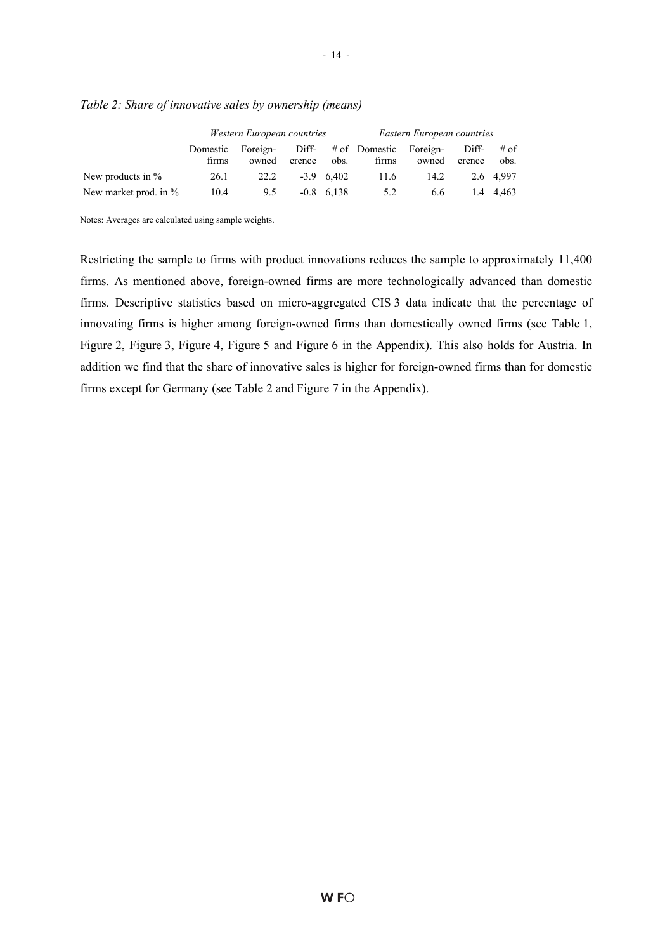|                       |                   | Western European countries |                 | Eastern European countries |                                 |       |                 |              |
|-----------------------|-------------------|----------------------------|-----------------|----------------------------|---------------------------------|-------|-----------------|--------------|
|                       | Domestic<br>firms | Foreign-<br>owned          | Diff-<br>erence | obs.                       | # of Domestic Foreign-<br>firms | owned | Diff-<br>erence | # of<br>obs. |
| New products in $%$   | 26.1              | 22.2                       |                 | $-3.9$ 6.402               | 11.6                            | 14.2  |                 | 2.6 4.997    |
| New market prod. in % | 10.4              | 9.5                        |                 | $-0.8$ 6.138               | 5.2                             | 6.6   | 1.4             | 4.463        |

#### *Table 2: Share of innovative sales by ownership (means)*

Notes: Averages are calculated using sample weights.

Restricting the sample to firms with product innovations reduces the sample to approximately 11,400 firms. As mentioned above, foreign-owned firms are more technologically advanced than domestic firms. Descriptive statistics based on micro-aggregated CIS 3 data indicate that the percentage of innovating firms is higher among foreign-owned firms than domestically owned firms (see Table 1, Figure 2, Figure 3, Figure 4, Figure 5 and Figure 6 in the Appendix). This also holds for Austria. In addition we find that the share of innovative sales is higher for foreign-owned firms than for domestic firms except for Germany (see Table 2 and Figure 7 in the Appendix).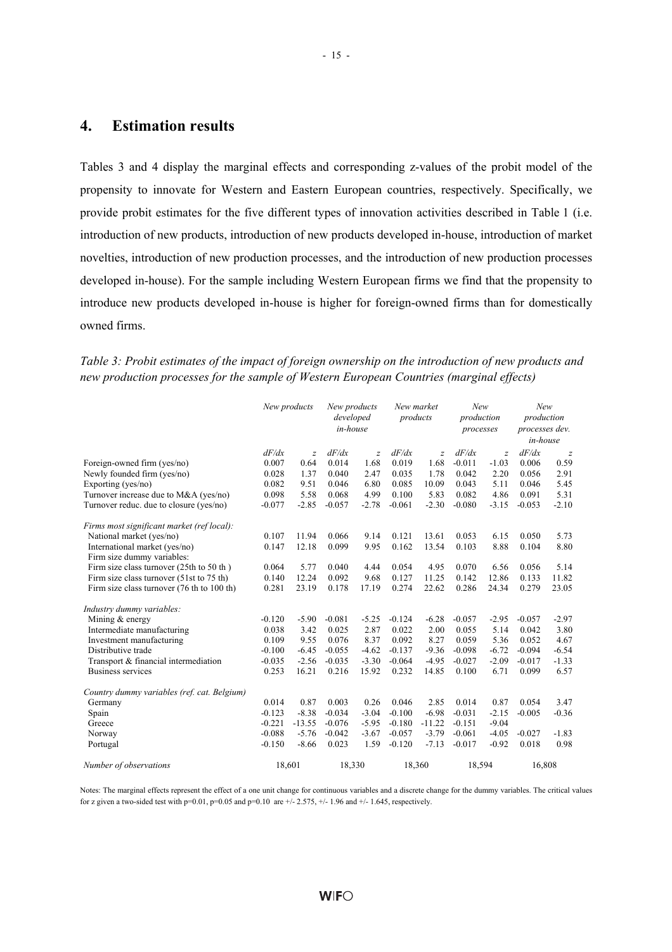#### **4. Estimation results**

Tables 3 and 4 display the marginal effects and corresponding z-values of the probit model of the propensity to innovate for Western and Eastern European countries, respectively. Specifically, we provide probit estimates for the five different types of innovation activities described in Table 1 (i.e. introduction of new products, introduction of new products developed in-house, introduction of market novelties, introduction of new production processes, and the introduction of new production processes developed in-house). For the sample including Western European firms we find that the propensity to introduce new products developed in-house is higher for foreign-owned firms than for domestically owned firms.

*Table 3: Probit estimates of the impact of foreign ownership on the introduction of new products and new production processes for the sample of Western European Countries (marginal effects)* 

|                                             | New products |                | New products<br>developed<br>in-house |                | New market<br>products |                | New<br>production<br>processes |                | New<br>production<br>processes dev.<br>in-house |                |
|---------------------------------------------|--------------|----------------|---------------------------------------|----------------|------------------------|----------------|--------------------------------|----------------|-------------------------------------------------|----------------|
|                                             | dF/dx        | $\overline{z}$ | dF/dx                                 | $\overline{z}$ | dF/dx                  | $\overline{z}$ | dF/dx                          | $\overline{z}$ | dF/dx                                           | $\overline{z}$ |
| Foreign-owned firm (yes/no)                 | 0.007        | 0.64           | 0.014                                 | 1.68           | 0.019                  | 1.68           | $-0.011$                       | $-1.03$        | 0.006                                           | 0.59           |
| Newly founded firm (yes/no)                 | 0.028        | 1.37           | 0.040                                 | 2.47           | 0.035                  | 1.78           | 0.042                          | 2.20           | 0.056                                           | 2.91           |
| Exporting (yes/no)                          | 0.082        | 9.51           | 0.046                                 | 6.80           | 0.085                  | 10.09          | 0.043                          | 5.11           | 0.046                                           | 5.45           |
| Turnover increase due to M&A (yes/no)       | 0.098        | 5.58           | 0.068                                 | 4.99           | 0.100                  | 5.83           | 0.082                          | 4.86           | 0.091                                           | 5.31           |
| Turnover reduc. due to closure (yes/no)     | $-0.077$     | $-2.85$        | $-0.057$                              | $-2.78$        | $-0.061$               | $-2.30$        | $-0.080$                       | $-3.15$        | $-0.053$                                        | $-2.10$        |
| Firms most significant market (ref local):  |              |                |                                       |                |                        |                |                                |                |                                                 |                |
| National market (yes/no)                    | 0.107        | 11.94          | 0.066                                 | 9.14           | 0.121                  | 13.61          | 0.053                          | 6.15           | 0.050                                           | 5.73           |
| International market (yes/no)               | 0.147        | 12.18          | 0.099                                 | 9.95           | 0.162                  | 13.54          | 0.103                          | 8.88           | 0.104                                           | 8.80           |
| Firm size dummy variables:                  |              |                |                                       |                |                        |                |                                |                |                                                 |                |
| Firm size class turnover (25th to 50 th)    | 0.064        | 5.77           | 0.040                                 | 4.44           | 0.054                  | 4.95           | 0.070                          | 6.56           | 0.056                                           | 5.14           |
| Firm size class turnover (51st to 75 th)    | 0.140        | 12.24          | 0.092                                 | 9.68           | 0.127                  | 11.25          | 0.142                          | 12.86          | 0.133                                           | 11.82          |
| Firm size class turnover (76 th to 100 th)  | 0.281        | 23.19          | 0.178                                 | 17.19          | 0.274                  | 22.62          | 0.286                          | 24.34          | 0.279                                           | 23.05          |
| Industry dummy variables:                   |              |                |                                       |                |                        |                |                                |                |                                                 |                |
| Mining & energy                             | $-0.120$     | $-5.90$        | $-0.081$                              | $-5.25$        | $-0.124$               | $-6.28$        | $-0.057$                       | $-2.95$        | $-0.057$                                        | $-2.97$        |
| Intermediate manufacturing                  | 0.038        | 3.42           | 0.025                                 | 2.87           | 0.022                  | 2.00           | 0.055                          | 5.14           | 0.042                                           | 3.80           |
| Investment manufacturing                    | 0.109        | 9.55           | 0.076                                 | 8.37           | 0.092                  | 8.27           | 0.059                          | 5.36           | 0.052                                           | 4.67           |
| Distributive trade                          | $-0.100$     | $-6.45$        | $-0.055$                              | $-4.62$        | $-0.137$               | $-9.36$        | $-0.098$                       | $-6.72$        | $-0.094$                                        | $-6.54$        |
| Transport & financial intermediation        | $-0.035$     | $-2.56$        | $-0.035$                              | $-3.30$        | $-0.064$               | $-4.95$        | $-0.027$                       | $-2.09$        | $-0.017$                                        | $-1.33$        |
| <b>Business services</b>                    | 0.253        | 16.21          | 0.216                                 | 15.92          | 0.232                  | 14.85          | 0.100                          | 6.71           | 0.099                                           | 6.57           |
| Country dummy variables (ref. cat. Belgium) |              |                |                                       |                |                        |                |                                |                |                                                 |                |
| Germany                                     | 0.014        | 0.87           | 0.003                                 | 0.26           | 0.046                  | 2.85           | 0.014                          | 0.87           | 0.054                                           | 3.47           |
| Spain                                       | $-0.123$     | $-8.38$        | $-0.034$                              | $-3.04$        | $-0.100$               | $-6.98$        | $-0.031$                       | $-2.15$        | $-0.005$                                        | $-0.36$        |
| Greece                                      | $-0.221$     | $-13.55$       | $-0.076$                              | $-5.95$        | $-0.180$               | $-11.22$       | $-0.151$                       | $-9.04$        |                                                 |                |
| Norway                                      | $-0.088$     | $-5.76$        | $-0.042$                              | $-3.67$        | $-0.057$               | $-3.79$        | $-0.061$                       | $-4.05$        | $-0.027$                                        | $-1.83$        |
| Portugal                                    | $-0.150$     | $-8.66$        | 0.023                                 | 1.59           | $-0.120$               | $-7.13$        | $-0.017$                       | $-0.92$        | 0.018                                           | 0.98           |
| Number of observations                      | 18,601       |                | 18,330                                |                |                        | 18,360         | 18,594                         |                | 16,808                                          |                |

Notes: The marginal effects represent the effect of a one unit change for continuous variables and a discrete change for the dummy variables. The critical values for z given a two-sided test with p=0.01, p=0.05 and p=0.10 are  $+/$ - 2.575,  $+/-$  1.96 and  $+/-$  1.645, respectively.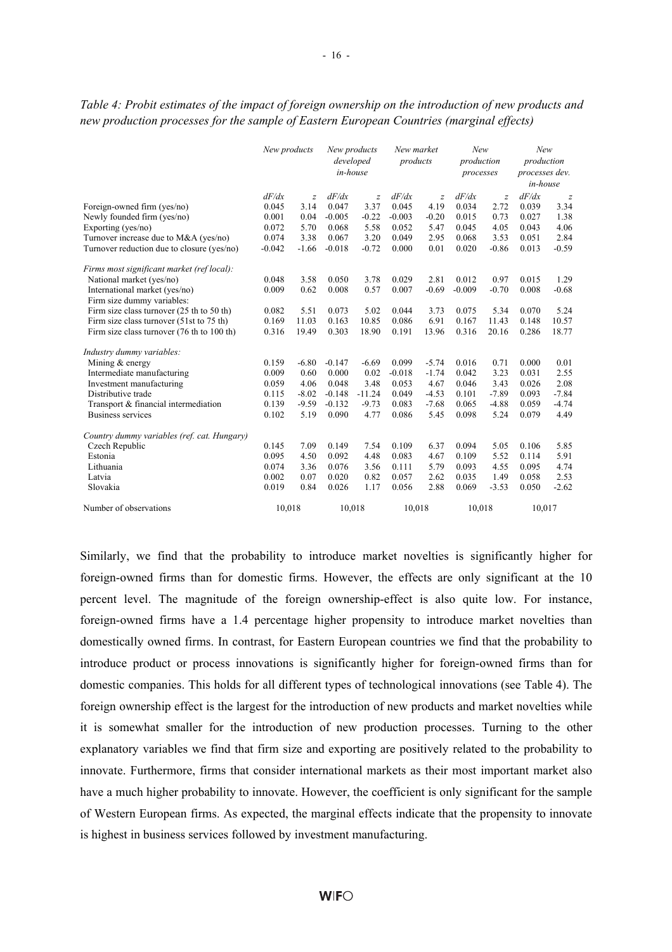|                                                              | New products |                | New products<br>developed<br>in-house |                | New market<br>products |                | New<br>production<br>processes |                | New<br>production<br>processes dev.<br>in-house |                  |
|--------------------------------------------------------------|--------------|----------------|---------------------------------------|----------------|------------------------|----------------|--------------------------------|----------------|-------------------------------------------------|------------------|
|                                                              | dF/dx        | $\overline{z}$ | dF/dx                                 | $\overline{z}$ | dF/dx                  | $\overline{z}$ | dF/dx                          | $\overline{z}$ | dF/dx                                           | $\boldsymbol{z}$ |
| Foreign-owned firm (yes/no)                                  | 0.045        | 3.14           | 0.047                                 | 3.37           | 0.045                  | 4.19           | 0.034                          | 2.72           | 0.039                                           | 3.34             |
| Newly founded firm (yes/no)                                  | 0.001        | 0.04           | $-0.005$                              | $-0.22$        | $-0.003$               | $-0.20$        | 0.015                          | 0.73           | 0.027                                           | 1.38             |
| Exporting (yes/no)                                           | 0.072        | 5.70           | 0.068                                 | 5.58           | 0.052                  | 5.47           | 0.045                          | 4.05           | 0.043                                           | 4.06             |
| Turnover increase due to M&A (yes/no)                        | 0.074        | 3.38           | 0.067                                 | 3.20           | 0.049                  | 2.95           | 0.068                          | 3.53           | 0.051                                           | 2.84             |
| Turnover reduction due to closure (yes/no)                   | $-0.042$     | $-1.66$        | $-0.018$                              | $-0.72$        | 0.000                  | 0.01           | 0.020                          | $-0.86$        | 0.013                                           | $-0.59$          |
| Firms most significant market (ref local):                   |              |                |                                       |                |                        |                |                                |                |                                                 |                  |
| National market (yes/no)                                     | 0.048        | 3.58           | 0.050                                 | 3.78           | 0.029                  | 2.81           | 0.012                          | 0.97           | 0.015                                           | 1.29             |
| International market (yes/no)                                | 0.009        | 0.62           | 0.008                                 | 0.57           | 0.007                  | $-0.69$        | $-0.009$                       | $-0.70$        | 0.008                                           | $-0.68$          |
| Firm size dummy variables:                                   |              |                |                                       |                |                        |                |                                |                |                                                 |                  |
| Firm size class turnover $(25 \text{ th to } 50 \text{ th})$ | 0.082        | 5.51           | 0.073                                 | 5.02           | 0.044                  | 3.73           | 0.075                          | 5.34           | 0.070                                           | 5.24             |
| Firm size class turnover (51st to 75 th)                     | 0.169        | 11.03          | 0.163                                 | 10.85          | 0.086                  | 6.91           | 0.167                          | 11.43          | 0.148                                           | 10.57            |
| Firm size class turnover (76 th to 100 th)                   | 0.316        | 19.49          | 0.303                                 | 18.90          | 0.191                  | 13.96          | 0.316                          | 20.16          | 0.286                                           | 18.77            |
| Industry dummy variables:                                    |              |                |                                       |                |                        |                |                                |                |                                                 |                  |
| Mining & energy                                              | 0.159        | $-6.80$        | $-0.147$                              | $-6.69$        | 0.099                  | $-5.74$        | 0.016                          | 0.71           | 0.000                                           | 0.01             |
| Intermediate manufacturing                                   | 0.009        | 0.60           | 0.000                                 | 0.02           | $-0.018$               | $-1.74$        | 0.042                          | 3.23           | 0.031                                           | 2.55             |
| Investment manufacturing                                     | 0.059        | 4.06           | 0.048                                 | 3.48           | 0.053                  | 4.67           | 0.046                          | 3.43           | 0.026                                           | 2.08             |
| Distributive trade                                           | 0.115        | $-8.02$        | $-0.148$                              | $-11.24$       | 0.049                  | $-4.53$        | 0.101                          | $-7.89$        | 0.093                                           | $-7.84$          |
| Transport & financial intermediation                         | 0.139        | $-9.59$        | $-0.132$                              | $-9.73$        | 0.083                  | $-7.68$        | 0.065                          | $-4.88$        | 0.059                                           | $-4.74$          |
| Business services                                            | 0.102        | 5.19           | 0.090                                 | 4.77           | 0.086                  | 5.45           | 0.098                          | 5.24           | 0.079                                           | 4.49             |
| Country dummy variables (ref. cat. Hungary)                  |              |                |                                       |                |                        |                |                                |                |                                                 |                  |
| Czech Republic                                               | 0.145        | 7.09           | 0.149                                 | 7.54           | 0.109                  | 6.37           | 0.094                          | 5.05           | 0.106                                           | 5.85             |
| Estonia                                                      | 0.095        | 4.50           | 0.092                                 | 4.48           | 0.083                  | 4.67           | 0.109                          | 5.52           | 0.114                                           | 5.91             |
| Lithuania                                                    | 0.074        | 3.36           | 0.076                                 | 3.56           | 0.111                  | 5.79           | 0.093                          | 4.55           | 0.095                                           | 4.74             |
| Latvia                                                       | 0.002        | 0.07           | 0.020                                 | 0.82           | 0.057                  | 2.62           | 0.035                          | 1.49           | 0.058                                           | 2.53             |
| Slovakia                                                     | 0.019        | 0.84           | 0.026                                 | 1.17           | 0.056                  | 2.88           | 0.069                          | $-3.53$        | 0.050                                           | $-2.62$          |
| Number of observations                                       | 10.018       |                | 10.018                                |                | 10.018                 |                | 10.018                         |                | 10.017                                          |                  |

*Table 4: Probit estimates of the impact of foreign ownership on the introduction of new products and new production processes for the sample of Eastern European Countries (marginal effects)* 

Similarly, we find that the probability to introduce market novelties is significantly higher for foreign-owned firms than for domestic firms. However, the effects are only significant at the 10 percent level. The magnitude of the foreign ownership-effect is also quite low. For instance, foreign-owned firms have a 1.4 percentage higher propensity to introduce market novelties than domestically owned firms. In contrast, for Eastern European countries we find that the probability to introduce product or process innovations is significantly higher for foreign-owned firms than for domestic companies. This holds for all different types of technological innovations (see Table 4). The foreign ownership effect is the largest for the introduction of new products and market novelties while it is somewhat smaller for the introduction of new production processes. Turning to the other explanatory variables we find that firm size and exporting are positively related to the probability to innovate. Furthermore, firms that consider international markets as their most important market also have a much higher probability to innovate. However, the coefficient is only significant for the sample of Western European firms. As expected, the marginal effects indicate that the propensity to innovate is highest in business services followed by investment manufacturing.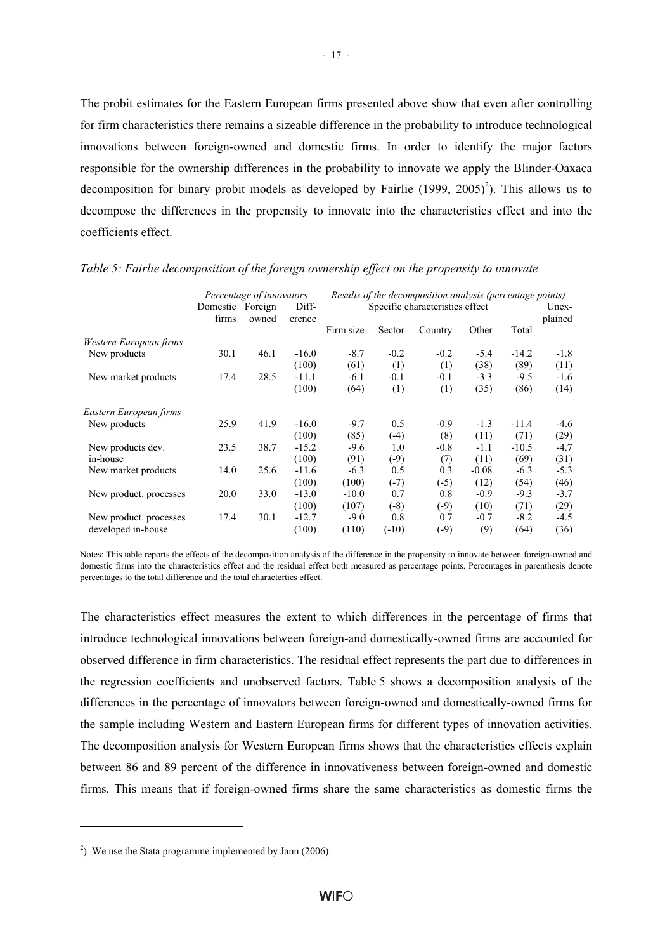The probit estimates for the Eastern European firms presented above show that even after controlling for firm characteristics there remains a sizeable difference in the probability to introduce technological innovations between foreign-owned and domestic firms. In order to identify the major factors responsible for the ownership differences in the probability to innovate we apply the Blinder-Oaxaca decomposition for binary probit models as developed by Fairlie  $(1999, 2005)^2$ ). This allows us to decompose the differences in the propensity to innovate into the characteristics effect and into the coefficients effect.

|                        | Percentage of innovators |       |         | Results of the decomposition analysis (percentage points) |         |                                 |         |         |         |  |
|------------------------|--------------------------|-------|---------|-----------------------------------------------------------|---------|---------------------------------|---------|---------|---------|--|
|                        | Domestic Foreign         |       | Diff-   |                                                           |         | Specific characteristics effect |         |         | Unex-   |  |
|                        | firms                    | owned | erence  |                                                           |         |                                 |         |         | plained |  |
|                        |                          |       |         | Firm size                                                 | Sector  | Country                         | Other   | Total   |         |  |
| Western European firms |                          |       |         |                                                           |         |                                 |         |         |         |  |
| New products           | 30.1                     | 46.1  | $-16.0$ | $-8.7$                                                    | $-0.2$  | $-0.2$                          | $-5.4$  | $-14.2$ | $-1.8$  |  |
|                        |                          |       | (100)   | (61)                                                      | (1)     | (1)                             | (38)    | (89)    | (11)    |  |
| New market products    | 17.4                     | 28.5  | $-11.1$ | $-6.1$                                                    | $-0.1$  | $-0.1$                          | $-3.3$  | $-9.5$  | $-1.6$  |  |
|                        |                          |       | (100)   | (64)                                                      | (1)     | (1)                             | (35)    | (86)    | (14)    |  |
| Eastern European firms |                          |       |         |                                                           |         |                                 |         |         |         |  |
| New products           | 25.9                     | 41.9  | $-16.0$ | $-9.7$                                                    | 0.5     | $-0.9$                          | $-1.3$  | $-11.4$ | $-4.6$  |  |
|                        |                          |       | (100)   | (85)                                                      | $(-4)$  | (8)                             | (11)    | (71)    | (29)    |  |
| New products dev.      | 23.5                     | 38.7  | $-15.2$ | $-9.6$                                                    | 1.0     | $-0.8$                          | $-1.1$  | $-10.5$ | $-4.7$  |  |
| in-house               |                          |       | (100)   | (91)                                                      | $(-9)$  | (7)                             | (11)    | (69)    | (31)    |  |
| New market products    | 14.0                     | 25.6  | $-11.6$ | $-6.3$                                                    | 0.5     | 0.3                             | $-0.08$ | $-6.3$  | $-5.3$  |  |
|                        |                          |       | (100)   | (100)                                                     | $(-7)$  | $(-5)$                          | (12)    | (54)    | (46)    |  |
| New product. processes | 20.0                     | 33.0  | $-13.0$ | $-10.0$                                                   | 0.7     | 0.8                             | $-0.9$  | $-9.3$  | $-3.7$  |  |
|                        |                          |       | (100)   | (107)                                                     | $(-8)$  | $(-9)$                          | (10)    | (71)    | (29)    |  |
| New product. processes | 17.4                     | 30.1  | $-12.7$ | $-9.0$                                                    | 0.8     | 0.7                             | $-0.7$  | $-8.2$  | $-4.5$  |  |
| developed in-house     |                          |       | (100)   | (110)                                                     | $(-10)$ | $(-9)$                          | (9)     | (64)    | (36)    |  |

#### *Table 5: Fairlie decomposition of the foreign ownership effect on the propensity to innovate*

Notes: This table reports the effects of the decomposition analysis of the difference in the propensity to innovate between foreign-owned and domestic firms into the characteristics effect and the residual effect both measured as percentage points. Percentages in parenthesis denote percentages to the total difference and the total charactertics effect.

The characteristics effect measures the extent to which differences in the percentage of firms that introduce technological innovations between foreign-and domestically-owned firms are accounted for observed difference in firm characteristics. The residual effect represents the part due to differences in the regression coefficients and unobserved factors. Table 5 shows a decomposition analysis of the differences in the percentage of innovators between foreign-owned and domestically-owned firms for the sample including Western and Eastern European firms for different types of innovation activities. The decomposition analysis for Western European firms shows that the characteristics effects explain between 86 and 89 percent of the difference in innovativeness between foreign-owned and domestic firms. This means that if foreign-owned firms share the same characteristics as domestic firms the

l

- 17 -

<sup>&</sup>lt;sup>2</sup>) We use the Stata programme implemented by Jann (2006).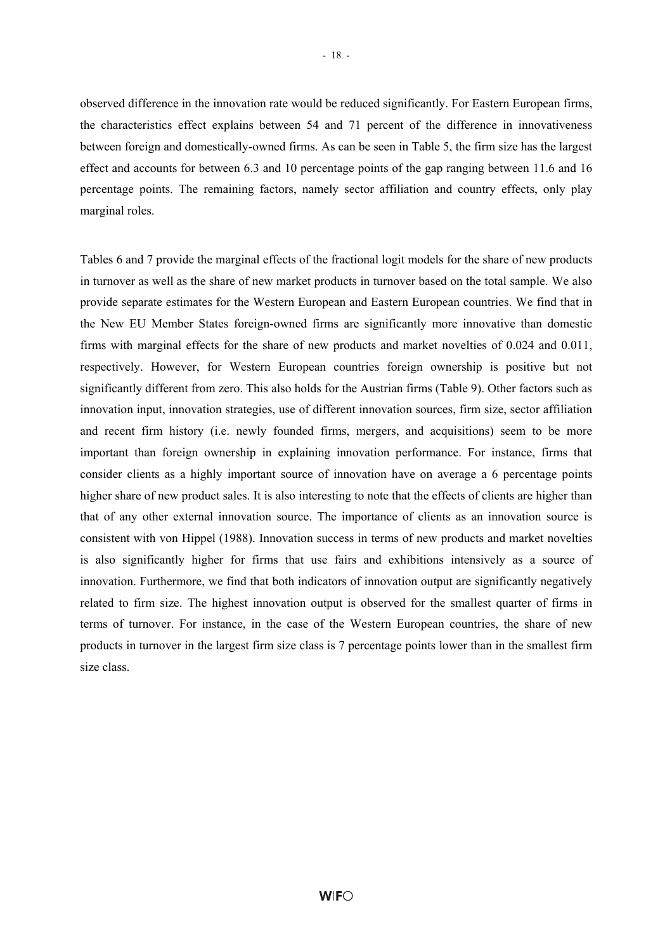observed difference in the innovation rate would be reduced significantly. For Eastern European firms, the characteristics effect explains between 54 and 71 percent of the difference in innovativeness between foreign and domestically-owned firms. As can be seen in Table 5, the firm size has the largest effect and accounts for between 6.3 and 10 percentage points of the gap ranging between 11.6 and 16 percentage points. The remaining factors, namely sector affiliation and country effects, only play marginal roles.

Tables 6 and 7 provide the marginal effects of the fractional logit models for the share of new products in turnover as well as the share of new market products in turnover based on the total sample. We also provide separate estimates for the Western European and Eastern European countries. We find that in the New EU Member States foreign-owned firms are significantly more innovative than domestic firms with marginal effects for the share of new products and market novelties of 0.024 and 0.011, respectively. However, for Western European countries foreign ownership is positive but not significantly different from zero. This also holds for the Austrian firms (Table 9). Other factors such as innovation input, innovation strategies, use of different innovation sources, firm size, sector affiliation and recent firm history (i.e. newly founded firms, mergers, and acquisitions) seem to be more important than foreign ownership in explaining innovation performance. For instance, firms that consider clients as a highly important source of innovation have on average a 6 percentage points higher share of new product sales. It is also interesting to note that the effects of clients are higher than that of any other external innovation source. The importance of clients as an innovation source is consistent with von Hippel (1988). Innovation success in terms of new products and market novelties is also significantly higher for firms that use fairs and exhibitions intensively as a source of innovation. Furthermore, we find that both indicators of innovation output are significantly negatively related to firm size. The highest innovation output is observed for the smallest quarter of firms in terms of turnover. For instance, in the case of the Western European countries, the share of new products in turnover in the largest firm size class is 7 percentage points lower than in the smallest firm size class.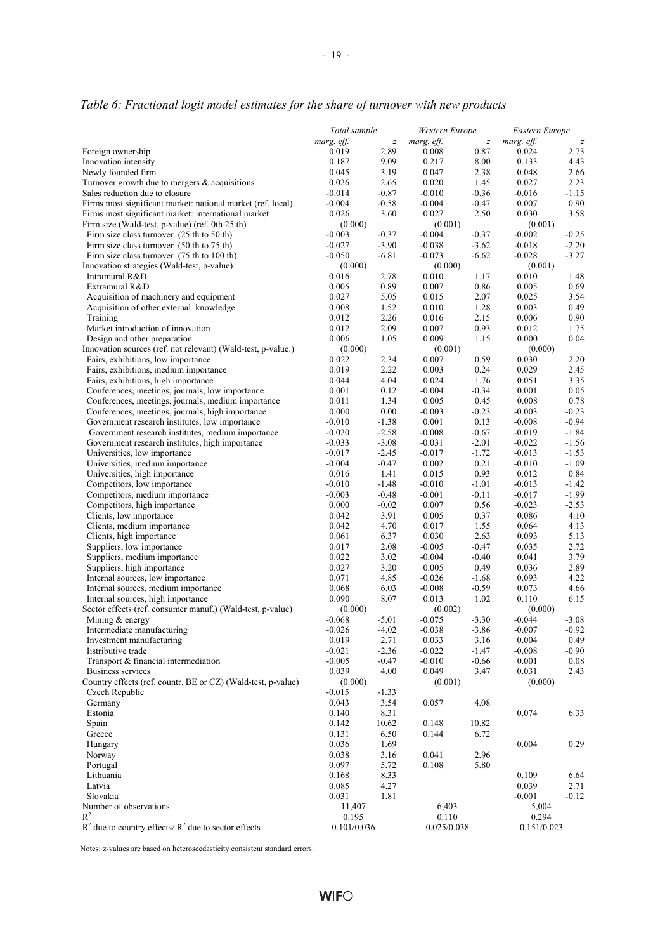|                                                                                                    | Total sample         |                    | Western Europe       |                    | Eastern Europe    |                  |
|----------------------------------------------------------------------------------------------------|----------------------|--------------------|----------------------|--------------------|-------------------|------------------|
|                                                                                                    | marg. eff.           | $\boldsymbol{z}$   | marg. eff.           | $\boldsymbol{z}$   | marg. eff.        | $\boldsymbol{z}$ |
| Foreign ownership                                                                                  | 0.019                | 2.89               | 0.008                | 0.87               | 0.024             | 2.73             |
| Innovation intensity                                                                               | 0.187                | 9.09               | 0.217                | 8.00               | 0.133             | 4.43             |
| Newly founded firm                                                                                 | 0.045                | 3.19               | 0.047                | 2.38               | 0.048             | 2.66             |
| Turnover growth due to mergers $\&$ acquisitions                                                   | 0.026                | 2.65               | 0.020                | 1.45               | 0.027             | 2.23             |
| Sales reduction due to closure<br>Firms most significant market: national market (ref. local)      | $-0.014$<br>$-0.004$ | $-0.87$<br>$-0.58$ | $-0.010$<br>$-0.004$ | $-0.36$<br>$-0.47$ | $-0.016$<br>0.007 | -1.15<br>0.90    |
| Firms most significant market: international market                                                | 0.026                | 3.60               | 0.027                | 2.50               | 0.030             | 3.58             |
| Firm size (Wald-test, p-value) (ref. 0th 25 th)                                                    | (0.000)              |                    | (0.001)              |                    | (0.001)           |                  |
| Firm size class turnover $(25 \text{ th to } 50 \text{ th})$                                       | $-0.003$             | $-0.37$            | $-0.004$             | $-0.37$            | $-0.002$          | $-0.25$          |
| Firm size class turnover (50 th to 75 th)                                                          | $-0.027$             | $-3.90$            | $-0.038$             | $-3.62$            | $-0.018$          | $-2.20$          |
| Firm size class turnover (75 th to 100 th)                                                         | $-0.050$             | $-6.81$            | $-0.073$             | $-6.62$            | $-0.028$          | $-3.27$          |
| Innovation strategies (Wald-test, p-value)                                                         | (0.000)              |                    | (0.000)              |                    | (0.001)           |                  |
| Intramural R&D                                                                                     | 0.016                | 2.78               | 0.010                | 1.17               | 0.010             | 1.48             |
| Extramural R&D                                                                                     | 0.005                | 0.89               | 0.007                | 0.86               | 0.005             | 0.69             |
| Acquisition of machinery and equipment                                                             | 0.027                | 5.05               | 0.015                | 2.07               | 0.025             | 3.54             |
| Acquisition of other external knowledge                                                            | 0.008                | 1.52               | 0.010                | 1.28               | 0.003             | 0.49             |
| Training                                                                                           | 0.012                | 2.26               | 0.016                | 2.15               | 0.006             | 0.90             |
| Market introduction of innovation                                                                  | 0.012                | 2.09               | 0.007                | 0.93               | 0.012             | 1.75             |
| Design and other preparation                                                                       | 0.006                | 1.05               | 0.009                | 1.15               | 0.000             | 0.04             |
| Innovation sources (ref. not relevant) (Wald-test, p-value:)<br>Fairs, exhibitions, low importance | (0.000)<br>0.022     |                    | (0.001)<br>0.007     |                    | (0.000)           |                  |
| Fairs, exhibitions, medium importance                                                              | 0.019                | 2.34<br>2.22       | 0.003                | 0.59<br>0.24       | 0.030<br>0.029    | 2.20<br>2.45     |
| Fairs, exhibitions, high importance                                                                | 0.044                | 4.04               | 0.024                | 1.76               | 0.051             | 3.35             |
| Conferences, meetings, journals, low importance                                                    | 0.001                | 0.12               | $-0.004$             | $-0.34$            | 0.001             | 0.05             |
| Conferences, meetings, journals, medium importance                                                 | 0.011                | 1.34               | 0.005                | 0.45               | 0.008             | 0.78             |
| Conferences, meetings, journals, high importance                                                   | 0.000                | 0.00               | $-0.003$             | $-0.23$            | $-0.003$          | $-0.23$          |
| Government research institutes, low importance                                                     | $-0.010$             | $-1.38$            | 0.001                | 0.13               | $-0.008$          | $-0.94$          |
| Government research institutes, medium importance                                                  | $-0.020$             | $-2.58$            | $-0.008$             | $-0.67$            | $-0.019$          | $-1.84$          |
| Government research institutes, high importance                                                    | $-0.033$             | $-3.08$            | $-0.031$             | $-2.01$            | $-0.022$          | -1.56            |
| Universities, low importance                                                                       | $-0.017$             | $-2.45$            | $-0.017$             | $-1.72$            | $-0.013$          | $-1.53$          |
| Universities, medium importance                                                                    | $-0.004$             | $-0.47$            | 0.002                | 0.21               | $-0.010$          | $-1.09$          |
| Universities, high importance                                                                      | 0.016                | 1.41               | 0.015                | 0.93               | 0.012             | 0.84             |
| Competitors, low importance                                                                        | $-0.010$             | $-1.48$            | $-0.010$             | $-1.01$            | $-0.013$          | -1.42            |
| Competitors, medium importance                                                                     | $-0.003$             | $-0.48$            | $-0.001$             | $-0.11$            | $-0.017$          | $-1.99$          |
| Competitors, high importance                                                                       | 0.000                | $-0.02$            | 0.007                | 0.56               | $-0.023$          | $-2.53$          |
| Clients, low importance                                                                            | 0.042<br>0.042       | 3.91               | 0.005<br>0.017       | 0.37<br>1.55       | 0.086<br>0.064    | 4.10             |
| Clients, medium importance<br>Clients, high importance                                             | 0.061                | 4.70<br>6.37       | 0.030                | 2.63               | 0.093             | 4.13<br>5.13     |
| Suppliers, low importance                                                                          | 0.017                | 2.08               | $-0.005$             | $-0.47$            | 0.035             | 2.72             |
| Suppliers, medium importance                                                                       | 0.022                | 3.02               | $-0.004$             | $-0.40$            | 0.041             | 3.79             |
| Suppliers, high importance                                                                         | 0.027                | 3.20               | 0.005                | 0.49               | 0.036             | 2.89             |
| Internal sources, low importance                                                                   | 0.071                | 4.85               | $-0.026$             | $-1.68$            | 0.093             | 4.22             |
| Internal sources, medium importance                                                                | 0.068                | 6.03               | $-0.008$             | $-0.59$            | 0.073             | 4.66             |
| Internal sources, high importance                                                                  | 0.090                | 8.07               | 0.013                | 1.02               | 0.110             | 6.15             |
| Sector effects (ref. consumer manuf.) (Wald-test, p-value)                                         | (0.000)              |                    | (0.002)              |                    | (0.000)           |                  |
| Mining & energy                                                                                    | $-0.068$             | $-5.01$            | $-0.075$             | $-3.30$            | $-0.044$          | $-3.08$          |
| Intermediate manufacturing                                                                         | $-0.026$             | $-4.02$            | $-0.038$             | $-3.86$            | $-0.007$          | $-0.92$          |
| Investment manufacturing                                                                           | 0.019                | 2.71               | 0.033                | 3.16               | 0.004             | 0.49             |
| Iistributive trade                                                                                 | $-0.021$             | $-2.36$            | $-0.022$             | $-1.47$            | $-0.008$          | $-0.90$          |
| Transport & financial intermediation                                                               | $-0.005$             | $-0.47$            | $-0.010$             | $-0.66$            | 0.001             | 0.08             |
| <b>Business services</b>                                                                           | 0.039                | 4.00               | 0.049                | 3.47               | 0.031             | 2.43             |
| Country effects (ref. countr. BE or CZ) (Wald-test, p-value)                                       | (0.000)              |                    | (0.001)              |                    | (0.000)           |                  |
| Czech Republic<br>Germany                                                                          | $-0.015$<br>0.043    | $-1.33$<br>3.54    | 0.057                | 4.08               |                   |                  |
| Estonia                                                                                            | 0.140                | 8.31               |                      |                    | 0.074             | 6.33             |
| Spain                                                                                              | 0.142                | 10.62              | 0.148                | 10.82              |                   |                  |
| Greece                                                                                             | 0.131                | 6.50               | 0.144                | 6.72               |                   |                  |
| Hungary                                                                                            | 0.036                | 1.69               |                      |                    | 0.004             | 0.29             |
| Norway                                                                                             | 0.038                | 3.16               | 0.041                | 2.96               |                   |                  |
| Portugal                                                                                           | 0.097                | 5.72               | 0.108                | 5.80               |                   |                  |
| Lithuania                                                                                          | 0.168                | 8.33               |                      |                    | 0.109             | 6.64             |
| Latvia                                                                                             | 0.085                | 4.27               |                      |                    | 0.039             | 2.71             |
| Slovakia                                                                                           | 0.031                | 1.81               |                      |                    | $-0.001$          | $-0.12$          |
| Number of observations                                                                             | 11,407               |                    | 6,403                |                    | 5,004             |                  |
| $R^2$                                                                                              | 0.195                |                    | 0.110                |                    | 0.294             |                  |
| $R^2$ due to country effects/ $R^2$ due to sector effects                                          | 0.101/0.036          |                    | 0.025/0.038          |                    | 0.151/0.023       |                  |

#### *Table 6: Fractional logit model estimates for the share of turnover with new products*

Notes: z-values are based on heteroscedasticity consistent standard errors.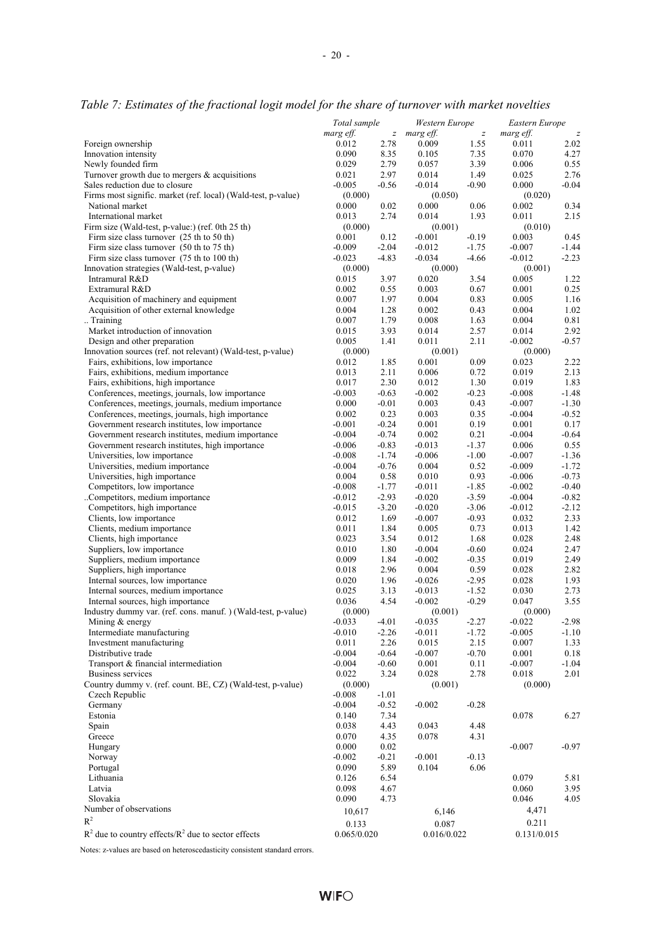|                                                                                                      | Total sample         |                          | Western Europe     |                          | Eastern Europe     |                          |
|------------------------------------------------------------------------------------------------------|----------------------|--------------------------|--------------------|--------------------------|--------------------|--------------------------|
| Foreign ownership                                                                                    | marg eff.<br>0.012   | $\boldsymbol{z}$<br>2.78 | marg eff.<br>0.009 | $\boldsymbol{z}$<br>1.55 | marg eff.<br>0.011 | $\boldsymbol{z}$<br>2.02 |
| Innovation intensity                                                                                 | 0.090                | 8.35                     | 0.105              | 7.35                     | 0.070              | 4.27                     |
| Newly founded firm                                                                                   | 0.029                | 2.79                     | 0.057              | 3.39                     | 0.006              | 0.55                     |
| Turnover growth due to mergers $\&$ acquisitions                                                     | 0.021                | 2.97                     | 0.014              | 1.49                     | 0.025              | 2.76                     |
| Sales reduction due to closure                                                                       | $-0.005$             | $-0.56$                  | $-0.014$           | $-0.90$                  | 0.000              | $-0.04$                  |
| Firms most signific. market (ref. local) (Wald-test, p-value)                                        | (0.000)              |                          | (0.050)            |                          | (0.020)            |                          |
| National market                                                                                      | 0.000                | 0.02                     | 0.000              | 0.06                     | 0.002              | 0.34                     |
| International market                                                                                 | 0.013                | 2.74                     | 0.014              | 1.93                     | 0.011              | 2.15                     |
| Firm size (Wald-test, p-value:) (ref. 0th 25 th)                                                     | (0.000)              |                          | (0.001)            |                          | (0.010)            |                          |
| Firm size class turnover (25 th to 50 th)                                                            | 0.001                | 0.12                     | $-0.001$           | $-0.19$                  | 0.003              | 0.45                     |
| Firm size class turnover (50 th to 75 th)                                                            | $-0.009$             | $-2.04$                  | $-0.012$           | $-1.75$                  | $-0.007$           | $-1.44$                  |
| Firm size class turnover (75 th to 100 th)                                                           | $-0.023$             | $-4.83$                  | $-0.034$           | $-4.66$                  | $-0.012$           | $-2.23$                  |
| Innovation strategies (Wald-test, p-value)                                                           | (0.000)              |                          | (0.000)            |                          | (0.001)            |                          |
| Intramural R&D                                                                                       | 0.015                | 3.97                     | 0.020              | 3.54                     | 0.005              | 1.22                     |
| Extramural R&D                                                                                       | 0.002                | 0.55                     | 0.003              | 0.67                     | 0.001              | 0.25                     |
| Acquisition of machinery and equipment                                                               | 0.007                | 1.97                     | 0.004              | 0.83                     | 0.005              | 1.16                     |
| Acquisition of other external knowledge                                                              | 0.004                | 1.28                     | 0.002              | 0.43                     | 0.004              | 1.02                     |
| Training                                                                                             | 0.007                | 1.79                     | 0.008              | 1.63                     | 0.004              | 0.81                     |
| Market introduction of innovation                                                                    | 0.015                | 3.93                     | 0.014              | 2.57                     | 0.014              | 2.92                     |
| Design and other preparation                                                                         | 0.005                | 1.41                     | 0.011              | 2.11                     | $-0.002$           | $-0.57$                  |
| Innovation sources (ref. not relevant) (Wald-test, p-value)                                          | (0.000)              |                          | (0.001)            |                          | (0.000)            |                          |
| Fairs, exhibitions, low importance                                                                   | 0.012                | 1.85                     | 0.001              | 0.09                     | 0.023              | 2.22                     |
| Fairs, exhibitions, medium importance                                                                | 0.013                | 2.11                     | 0.006              | 0.72                     | 0.019              | 2.13                     |
| Fairs, exhibitions, high importance                                                                  | 0.017                | 2.30                     | 0.012              | 1.30                     | 0.019              | 1.83                     |
| Conferences, meetings, journals, low importance                                                      | $-0.003$             | $-0.63$                  | $-0.002$           | $-0.23$                  | $-0.008$           | $-1.48$                  |
| Conferences, meetings, journals, medium importance                                                   | 0.000                | $-0.01$                  | 0.003              | 0.43                     | $-0.007$           | $-1.30$                  |
| Conferences, meetings, journals, high importance                                                     | 0.002                | 0.23                     | 0.003              | 0.35                     | $-0.004$           | $-0.52$                  |
| Government research institutes, low importance                                                       | $-0.001$             | $-0.24$<br>$-0.74$       | 0.001              | 0.19<br>0.21             | 0.001              | 0.17<br>$-0.64$          |
| Government research institutes, medium importance<br>Government research institutes, high importance | $-0.004$<br>$-0.006$ | $-0.83$                  | 0.002<br>$-0.013$  | $-1.37$                  | $-0.004$<br>0.006  | 0.55                     |
| Universities, low importance                                                                         | $-0.008$             | $-1.74$                  | $-0.006$           | $-1.00$                  | $-0.007$           | $-1.36$                  |
| Universities, medium importance                                                                      | $-0.004$             | $-0.76$                  | 0.004              | 0.52                     | $-0.009$           | $-1.72$                  |
| Universities, high importance                                                                        | 0.004                | 0.58                     | 0.010              | 0.93                     | $-0.006$           | $-0.73$                  |
| Competitors, low importance                                                                          | $-0.008$             | $-1.77$                  | $-0.011$           | $-1.85$                  | $-0.002$           | $-0.40$                  |
| Competitors, medium importance                                                                       | $-0.012$             | $-2.93$                  | $-0.020$           | $-3.59$                  | $-0.004$           | $-0.82$                  |
| Competitors, high importance                                                                         | $-0.015$             | $-3.20$                  | $-0.020$           | $-3.06$                  | $-0.012$           | $-2.12$                  |
| Clients, low importance                                                                              | 0.012                | 1.69                     | $-0.007$           | $-0.93$                  | 0.032              | 2.33                     |
| Clients, medium importance                                                                           | 0.011                | 1.84                     | 0.005              | 0.73                     | 0.013              | 1.42                     |
| Clients, high importance                                                                             | 0.023                | 3.54                     | 0.012              | 1.68                     | 0.028              | 2.48                     |
| Suppliers, low importance                                                                            | 0.010                | 1.80                     | $-0.004$           | $-0.60$                  | 0.024              | 2.47                     |
| Suppliers, medium importance                                                                         | 0.009                | 1.84                     | $-0.002$           | $-0.35$                  | 0.019              | 2.49                     |
| Suppliers, high importance                                                                           | 0.018                | 2.96                     | 0.004              | 0.59                     | 0.028              | 2.82                     |
| Internal sources, low importance                                                                     | 0.020                | 1.96                     | $-0.026$           | $-2.95$                  | 0.028              | 1.93                     |
| Internal sources, medium importance                                                                  | 0.025                | 3.13                     | $-0.013$           | $-1.52$                  | 0.030              | 2.73                     |
| Internal sources, high importance                                                                    | 0.036                | 4.54                     | $-0.002$           | $-0.29$                  | 0.047              | 3.55                     |
| Industry dummy var. (ref. cons. manuf.) (Wald-test, p-value)                                         | (0.000)              |                          | (0.001)            |                          | (0.000)            |                          |
| Mining & energy                                                                                      | $-0.033$             | $-4.01$                  | $-0.035$           | $-2.27$                  | $-0.022$           | $-2.98$                  |
| Intermediate manufacturing                                                                           | $-0.010$             | $-2.26$                  | $-0.011$           | $-1.72$                  | $-0.005$           | $-1.10$                  |
| Investment manufacturing                                                                             | 0.011                | 2.26                     | 0.015              | 2.15                     | 0.007              | 1.33                     |
| Distributive trade                                                                                   | $-0.004$             | $-0.64$                  | $-0.007$           | $-0.70$                  | 0.001              | 0.18                     |
| Transport & financial intermediation                                                                 | $-0.004$             | $-0.60$                  | 0.001              | 0.11                     | $-0.007$           | $-1.04$                  |
| <b>Business services</b>                                                                             | 0.022                | 3.24                     | 0.028              | 2.78                     | 0.018              | 2.01                     |
| Country dummy v. (ref. count. BE, CZ) (Wald-test, p-value)                                           | (0.000)              |                          | (0.001)            |                          | (0.000)            |                          |
| Czech Republic                                                                                       | $-0.008$             | $-1.01$                  |                    |                          |                    |                          |
| Germany                                                                                              | $-0.004$             | $-0.52$                  | $-0.002$           | $-0.28$                  |                    |                          |
| Estonia<br>Spain                                                                                     | 0.140                | 7.34                     |                    |                          | 0.078              | 6.27                     |
|                                                                                                      | 0.038<br>0.070       | 4.43                     | 0.043              | 4.48                     |                    |                          |
| Greece<br>Hungary                                                                                    | 0.000                | 4.35<br>0.02             | 0.078              | 4.31                     | $-0.007$           | $-0.97$                  |
| Norway                                                                                               | $-0.002$             | $-0.21$                  | $-0.001$           | $-0.13$                  |                    |                          |
| Portugal                                                                                             | 0.090                | 5.89                     | 0.104              | 6.06                     |                    |                          |
| Lithuania                                                                                            | 0.126                | 6.54                     |                    |                          | 0.079              | 5.81                     |
| Latvia                                                                                               | 0.098                | 4.67                     |                    |                          | 0.060              | 3.95                     |
| Slovakia                                                                                             | 0.090                | 4.73                     |                    |                          | 0.046              | 4.05                     |
| Number of observations                                                                               | 10,617               |                          | 6,146              |                          | 4,471              |                          |
| $R^2$                                                                                                |                      |                          |                    |                          |                    |                          |
|                                                                                                      | 0.133                |                          | 0.087              |                          | 0.211              |                          |

*Table 7: Estimates of the fractional logit model for the share of turnover with market novelties* 

 $R^2$  due to country effects/ $R^2$ due to sector effects  $0.065/0.020$   $0.016/0.022$   $0.131/0.015$ 

Notes: z-values are based on heteroscedasticity consistent standard errors.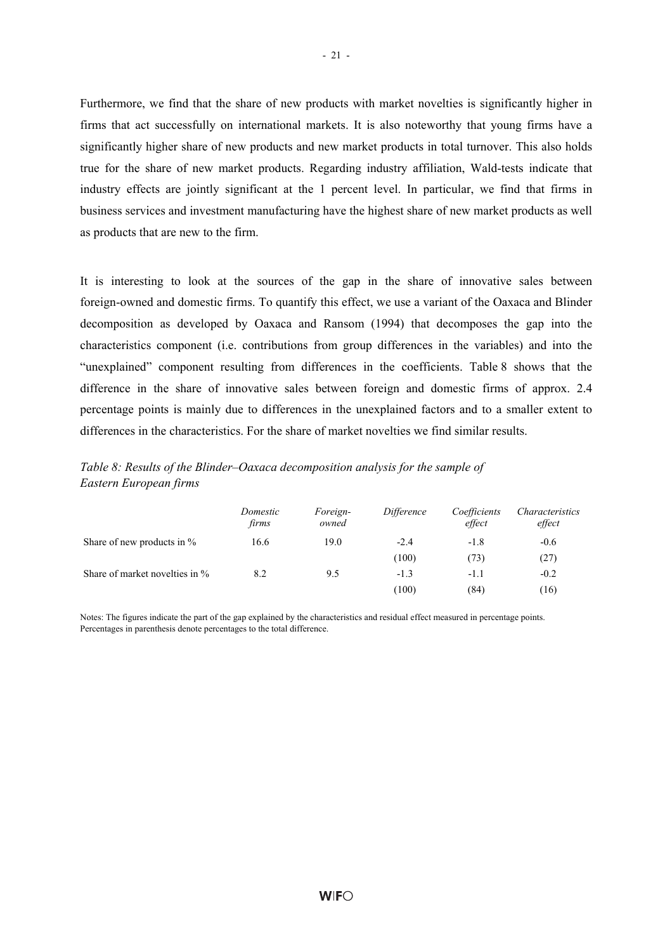Furthermore, we find that the share of new products with market novelties is significantly higher in firms that act successfully on international markets. It is also noteworthy that young firms have a significantly higher share of new products and new market products in total turnover. This also holds true for the share of new market products. Regarding industry affiliation, Wald-tests indicate that industry effects are jointly significant at the 1 percent level. In particular, we find that firms in business services and investment manufacturing have the highest share of new market products as well as products that are new to the firm.

It is interesting to look at the sources of the gap in the share of innovative sales between foreign-owned and domestic firms. To quantify this effect, we use a variant of the Oaxaca and Blinder decomposition as developed by Oaxaca and Ransom (1994) that decomposes the gap into the characteristics component (i.e. contributions from group differences in the variables) and into the "unexplained" component resulting from differences in the coefficients. Table 8 shows that the difference in the share of innovative sales between foreign and domestic firms of approx. 2.4 percentage points is mainly due to differences in the unexplained factors and to a smaller extent to differences in the characteristics. For the share of market novelties we find similar results.

| Table 8: Results of the Blinder-Oaxaca decomposition analysis for the sample of |  |
|---------------------------------------------------------------------------------|--|
| Eastern European firms                                                          |  |

|                                | Domestic<br>firms | Foreign-<br>owned | Difference | Coefficients<br>effect | Characteristics<br>effect |
|--------------------------------|-------------------|-------------------|------------|------------------------|---------------------------|
| Share of new products in %     | 16.6              | 19.0              | $-2.4$     | $-1.8$                 | $-0.6$                    |
|                                |                   |                   | (100)      | (73)                   | (27)                      |
| Share of market novelties in % | 8.2               | 9.5               | $-1.3$     | $-1.1$                 | $-0.2$                    |
|                                |                   |                   | (100)      | (84)                   | (16)                      |

Notes: The figures indicate the part of the gap explained by the characteristics and residual effect measured in percentage points. Percentages in parenthesis denote percentages to the total difference.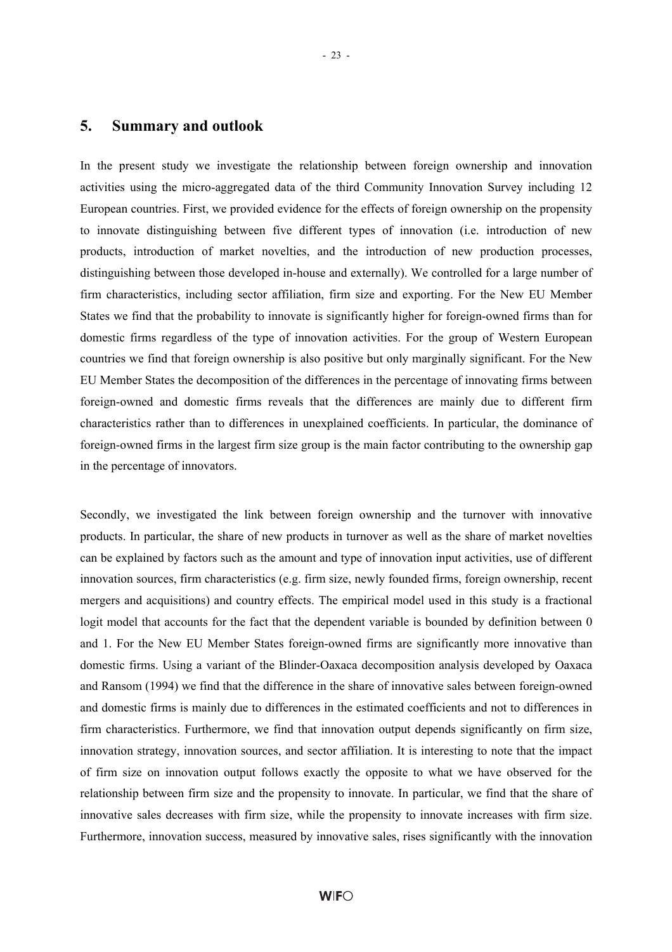In the present study we investigate the relationship between foreign ownership and innovation activities using the micro-aggregated data of the third Community Innovation Survey including 12 European countries. First, we provided evidence for the effects of foreign ownership on the propensity to innovate distinguishing between five different types of innovation (i.e. introduction of new products, introduction of market novelties, and the introduction of new production processes, distinguishing between those developed in-house and externally). We controlled for a large number of firm characteristics, including sector affiliation, firm size and exporting. For the New EU Member States we find that the probability to innovate is significantly higher for foreign-owned firms than for domestic firms regardless of the type of innovation activities. For the group of Western European countries we find that foreign ownership is also positive but only marginally significant. For the New EU Member States the decomposition of the differences in the percentage of innovating firms between foreign-owned and domestic firms reveals that the differences are mainly due to different firm characteristics rather than to differences in unexplained coefficients. In particular, the dominance of foreign-owned firms in the largest firm size group is the main factor contributing to the ownership gap in the percentage of innovators.

Secondly, we investigated the link between foreign ownership and the turnover with innovative products. In particular, the share of new products in turnover as well as the share of market novelties can be explained by factors such as the amount and type of innovation input activities, use of different innovation sources, firm characteristics (e.g. firm size, newly founded firms, foreign ownership, recent mergers and acquisitions) and country effects. The empirical model used in this study is a fractional logit model that accounts for the fact that the dependent variable is bounded by definition between 0 and 1. For the New EU Member States foreign-owned firms are significantly more innovative than domestic firms. Using a variant of the Blinder-Oaxaca decomposition analysis developed by Oaxaca and Ransom (1994) we find that the difference in the share of innovative sales between foreign-owned and domestic firms is mainly due to differences in the estimated coefficients and not to differences in firm characteristics. Furthermore, we find that innovation output depends significantly on firm size, innovation strategy, innovation sources, and sector affiliation. It is interesting to note that the impact of firm size on innovation output follows exactly the opposite to what we have observed for the relationship between firm size and the propensity to innovate. In particular, we find that the share of innovative sales decreases with firm size, while the propensity to innovate increases with firm size. Furthermore, innovation success, measured by innovative sales, rises significantly with the innovation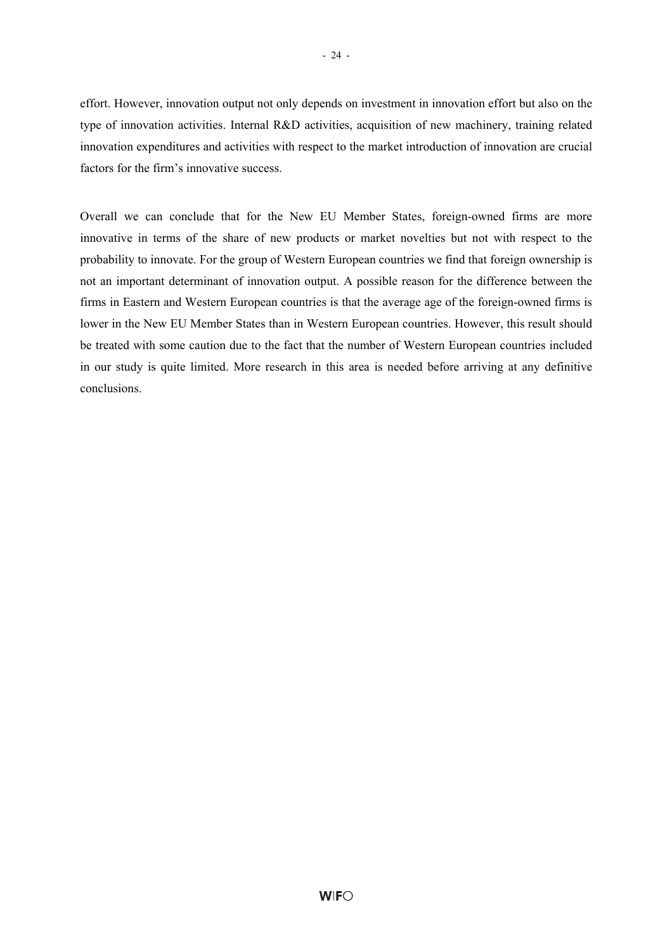effort. However, innovation output not only depends on investment in innovation effort but also on the type of innovation activities. Internal R&D activities, acquisition of new machinery, training related innovation expenditures and activities with respect to the market introduction of innovation are crucial factors for the firm's innovative success.

Overall we can conclude that for the New EU Member States, foreign-owned firms are more innovative in terms of the share of new products or market novelties but not with respect to the probability to innovate. For the group of Western European countries we find that foreign ownership is not an important determinant of innovation output. A possible reason for the difference between the firms in Eastern and Western European countries is that the average age of the foreign-owned firms is lower in the New EU Member States than in Western European countries. However, this result should be treated with some caution due to the fact that the number of Western European countries included in our study is quite limited. More research in this area is needed before arriving at any definitive conclusions.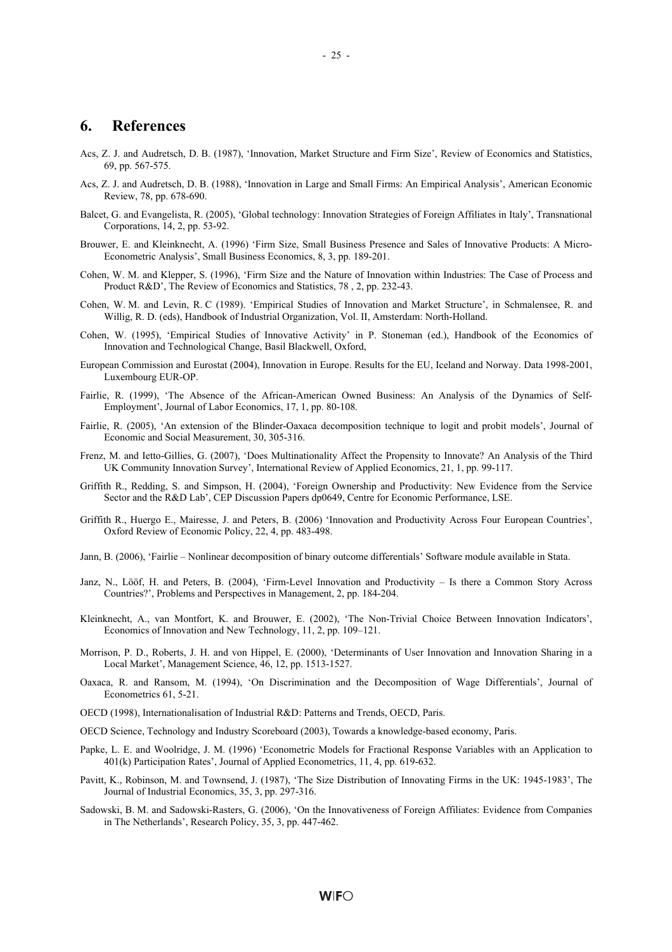#### **6. References**

- Acs, Z. J. and Audretsch, D. B. (1987), 'Innovation, Market Structure and Firm Size', Review of Economics and Statistics, 69, pp. 567-575.
- Acs, Z. J. and Audretsch, D. B. (1988), 'Innovation in Large and Small Firms: An Empirical Analysis', American Economic Review, 78, pp. 678-690.
- Balcet, G. and Evangelista, R. (2005), 'Global technology: Innovation Strategies of Foreign Affiliates in Italy', Transnational Corporations, 14, 2, pp. 53-92.
- Brouwer, E. and Kleinknecht, A. (1996) 'Firm Size, Small Business Presence and Sales of Innovative Products: A Micro-Econometric Analysis', Small Business Economics, 8, 3, pp. 189-201.
- Cohen, W. M. and Klepper, S. (1996), 'Firm Size and the Nature of Innovation within Industries: The Case of Process and Product R&D', The Review of Economics and Statistics, 78 , 2, pp. 232-43.
- Cohen, W. M. and Levin, R. C (1989). 'Empirical Studies of Innovation and Market Structure', in Schmalensee, R. and Willig, R. D. (eds), Handbook of Industrial Organization, Vol. II, Amsterdam: North-Holland.
- Cohen, W. (1995), 'Empirical Studies of Innovative Activity' in P. Stoneman (ed.), Handbook of the Economics of Innovation and Technological Change, Basil Blackwell, Oxford,
- European Commission and Eurostat (2004), Innovation in Europe. Results for the EU, Iceland and Norway. Data 1998-2001, Luxembourg EUR-OP.
- Fairlie, R. (1999), 'The Absence of the African-American Owned Business: An Analysis of the Dynamics of Self-Employment', Journal of Labor Economics, 17, 1, pp. 80-108.
- Fairlie, R. (2005), 'An extension of the Blinder-Oaxaca decomposition technique to logit and probit models', Journal of Economic and Social Measurement, 30, 305-316.
- Frenz, M. and Ietto-Gillies, G. (2007), 'Does Multinationality Affect the Propensity to Innovate? An Analysis of the Third UK Community Innovation Survey', International Review of Applied Economics, 21, 1, pp. 99-117.
- Griffith R., Redding, S. and Simpson, H. (2004), 'Foreign Ownership and Productivity: New Evidence from the Service Sector and the R&D Lab', CEP Discussion Papers dp0649, Centre for Economic Performance, LSE.
- Griffith R., Huergo E., Mairesse, J. and Peters, B. (2006) 'Innovation and Productivity Across Four European Countries', Oxford Review of Economic Policy, 22, 4, pp. 483-498.
- Jann, B. (2006), 'Fairlie Nonlinear decomposition of binary outcome differentials' Software module available in Stata.
- Janz, N., Lööf, H. and Peters, B. (2004), 'Firm-Level Innovation and Productivity Is there a Common Story Across Countries?', Problems and Perspectives in Management, 2, pp. 184-204.
- Kleinknecht, A., van Montfort, K. and Brouwer, E. (2002), 'The Non-Trivial Choice Between Innovation Indicators', Economics of Innovation and New Technology, 11, 2, pp. 109–121.
- Morrison, P. D., Roberts, J. H. and von Hippel, E. (2000), 'Determinants of User Innovation and Innovation Sharing in a Local Market', Management Science, 46, 12, pp. 1513-1527.
- Oaxaca, R. and Ransom, M. (1994), 'On Discrimination and the Decomposition of Wage Differentials', Journal of Econometrics 61, 5-21.
- OECD (1998), Internationalisation of Industrial R&D: Patterns and Trends, OECD, Paris.
- OECD Science, Technology and Industry Scoreboard (2003), Towards a knowledge-based economy, Paris.
- Papke, L. E. and Woolridge, J. M. (1996) 'Econometric Models for Fractional Response Variables with an Application to 401(k) Participation Rates', Journal of Applied Econometrics, 11, 4, pp. 619-632.
- Pavitt, K., Robinson, M. and Townsend, J. (1987), 'The Size Distribution of Innovating Firms in the UK: 1945-1983', The Journal of Industrial Economics, 35, 3, pp. 297-316.
- Sadowski, B. M. and Sadowski-Rasters, G. (2006), 'On the Innovativeness of Foreign Affiliates: Evidence from Companies in The Netherlands', Research Policy, 35, 3, pp. 447-462.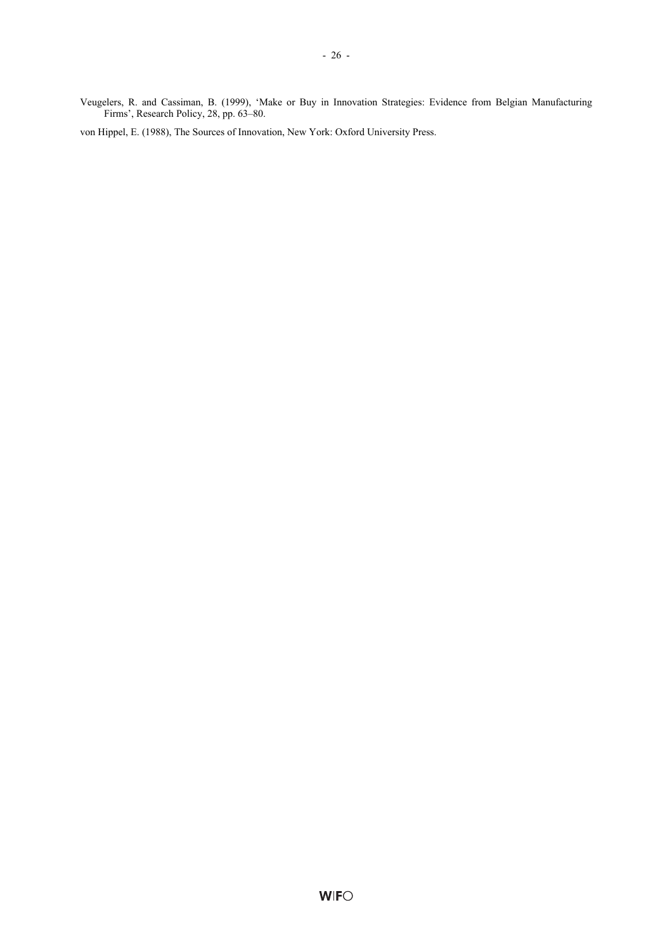Veugelers, R. and Cassiman, B. (1999), 'Make or Buy in Innovation Strategies: Evidence from Belgian Manufacturing Firms', Research Policy, 28, pp. 63–80.

von Hippel, E. (1988), The Sources of Innovation, New York: Oxford University Press.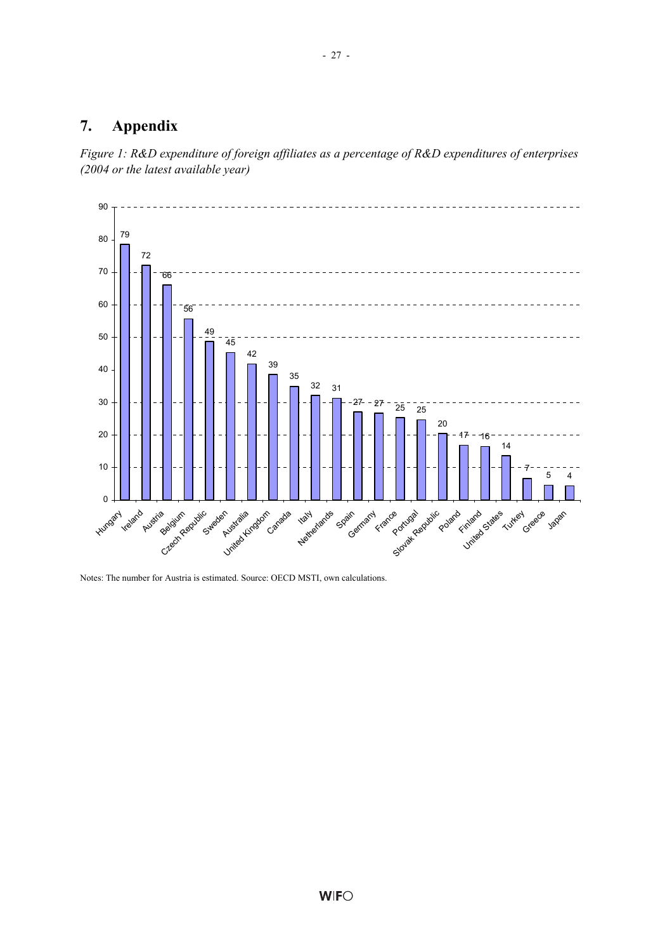### **7. Appendix**





Notes: The number for Austria is estimated. Source: OECD MSTI, own calculations.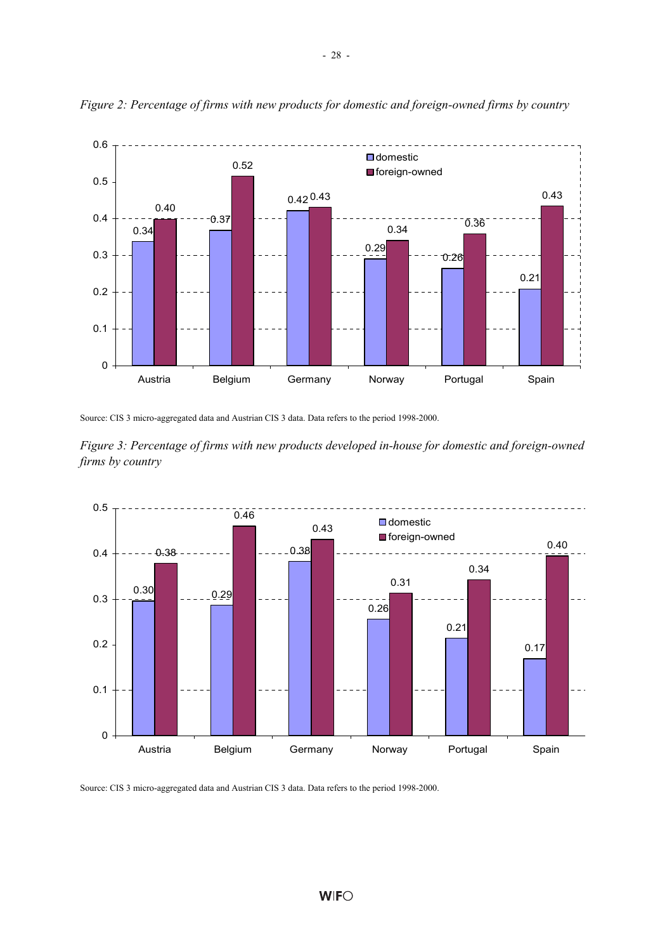

*Figure 2: Percentage of firms with new products for domestic and foreign-owned firms by country* 

Source: CIS 3 micro-aggregated data and Austrian CIS 3 data. Data refers to the period 1998-2000.





Source: CIS 3 micro-aggregated data and Austrian CIS 3 data. Data refers to the period 1998-2000.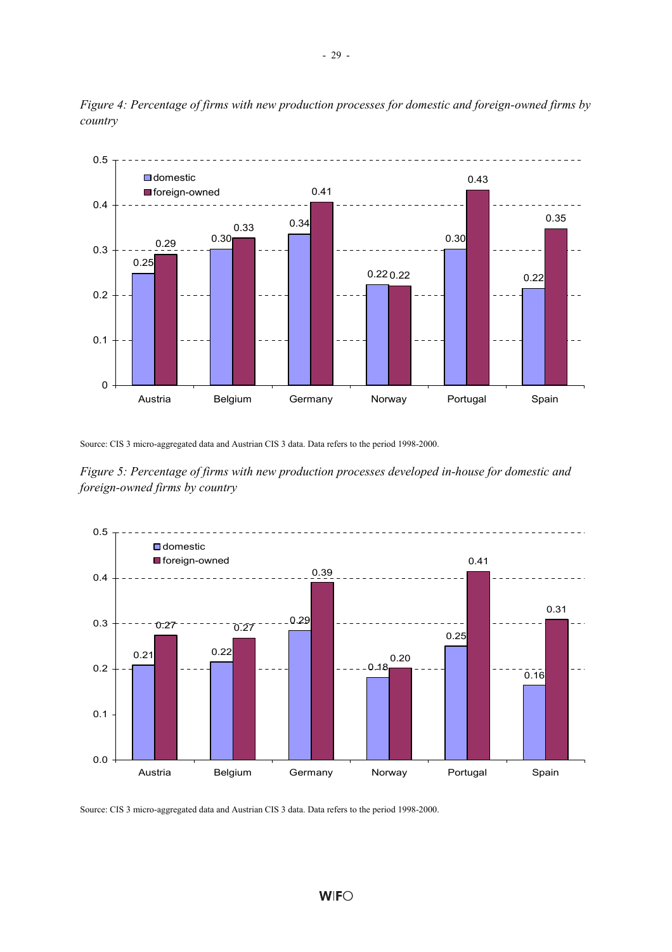

*Figure 4: Percentage of firms with new production processes for domestic and foreign-owned firms by country* 

Source: CIS 3 micro-aggregated data and Austrian CIS 3 data. Data refers to the period 1998-2000.

*Figure 5: Percentage of firms with new production processes developed in-house for domestic and foreign-owned firms by country* 



Source: CIS 3 micro-aggregated data and Austrian CIS 3 data. Data refers to the period 1998-2000.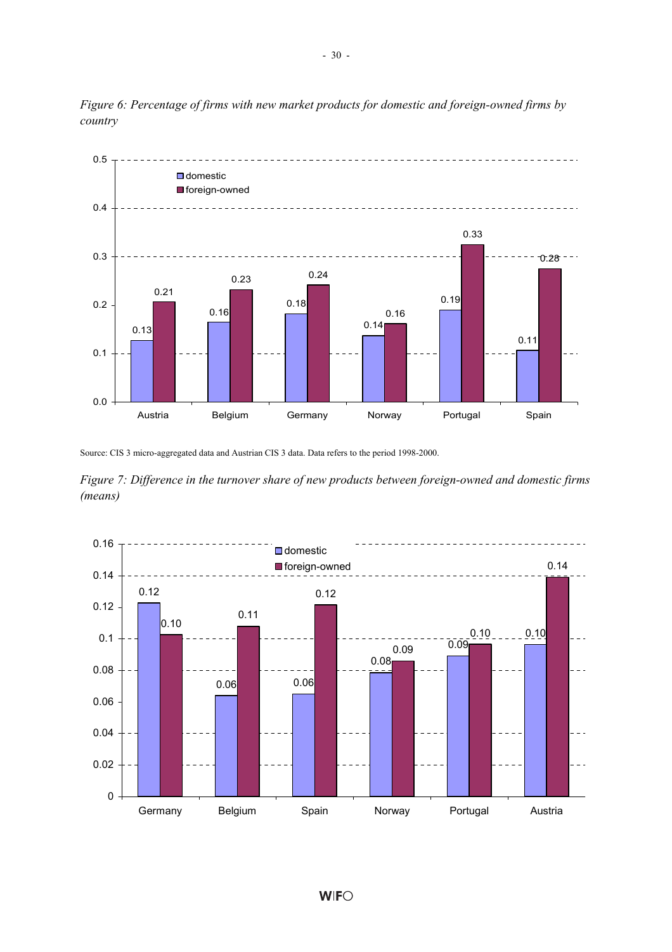

*Figure 6: Percentage of firms with new market products for domestic and foreign-owned firms by country* 

Source: CIS 3 micro-aggregated data and Austrian CIS 3 data. Data refers to the period 1998-2000.

*Figure 7: Difference in the turnover share of new products between foreign-owned and domestic firms (means)* 

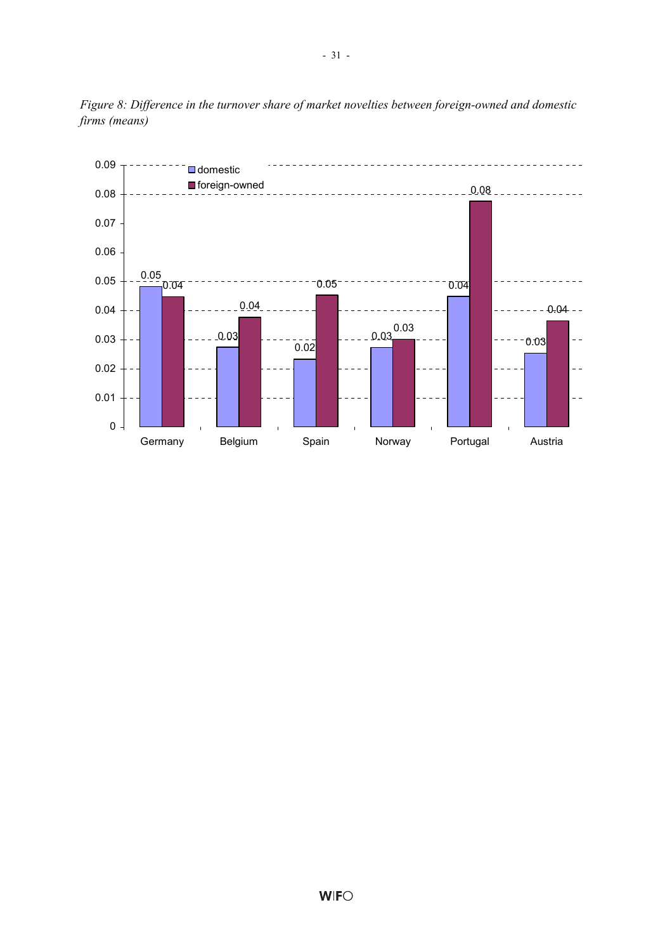

*Figure 8: Difference in the turnover share of market novelties between foreign-owned and domestic firms (means)*